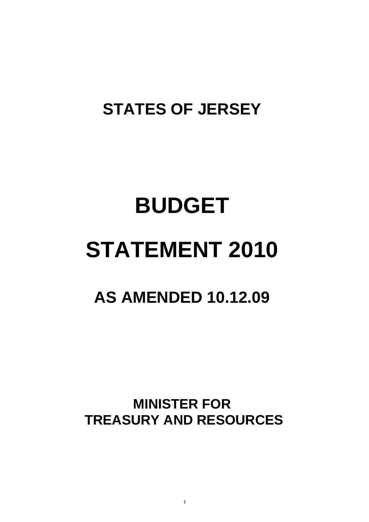### **STATES OF JERSEY**

# **BUDGET STATEMENT 2010**

### **AS AMENDED 10.12.09**

**MINISTER FOR TREASURY AND RESOURCES** 

1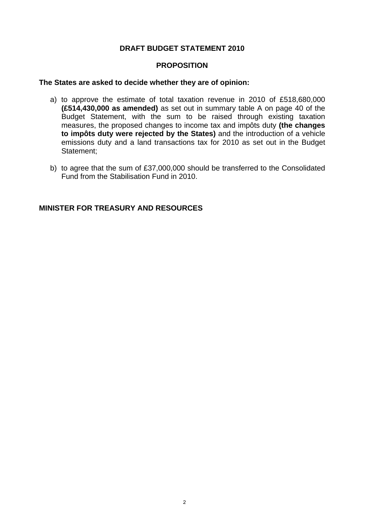#### **DRAFT BUDGET STATEMENT 2010**

#### **PROPOSITION**

#### **The States are asked to decide whether they are of opinion:**

- a) to approve the estimate of total taxation revenue in 2010 of £518,680,000 **(£514,430,000 as amended)** as set out in summary table A on page 40 of the Budget Statement, with the sum to be raised through existing taxation measures, the proposed changes to income tax and impôts duty **(the changes to impôts duty were rejected by the States)** and the introduction of a vehicle emissions duty and a land transactions tax for 2010 as set out in the Budget Statement;
- b) to agree that the sum of £37,000,000 should be transferred to the Consolidated Fund from the Stabilisation Fund in 2010.

#### **MINISTER FOR TREASURY AND RESOURCES**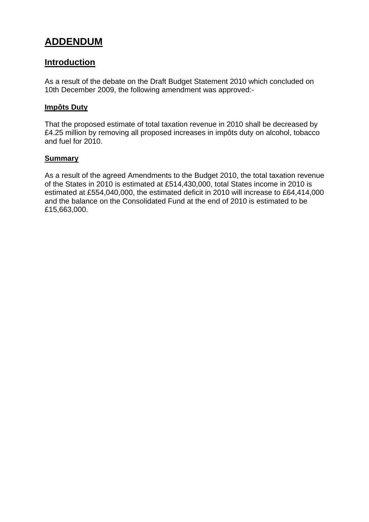#### <span id="page-2-0"></span>**ADDENDUM**

#### **Introduction**

As a result of the debate on the Draft Budget Statement 2010 which concluded on 10th December 2009, the following amendment was approved:-

#### **Impôts Duty**

That the proposed estimate of total taxation revenue in 2010 shall be decreased by £4.25 million by removing all proposed increases in impôts duty on alcohol, tobacco and fuel for 2010.

#### **Summary**

As a result of the agreed Amendments to the Budget 2010, the total taxation revenue of the States in 2010 is estimated at £514,430,000, total States income in 2010 is estimated at £554,040,000, the estimated deficit in 2010 will increase to £64,414,000 and the balance on the Consolidated Fund at the end of 2010 is estimated to be £15,663,000.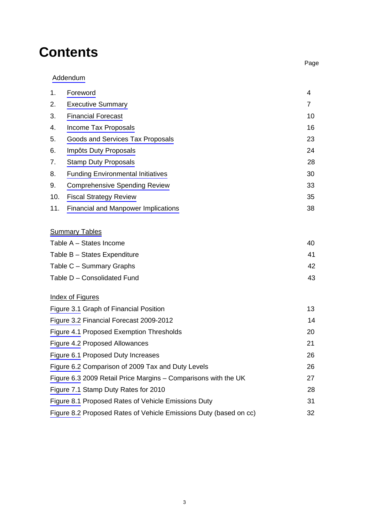### **Contents**

|     | Addendum                                                          |                |  |  |  |  |  |  |
|-----|-------------------------------------------------------------------|----------------|--|--|--|--|--|--|
| 1.  | Foreword                                                          | 4              |  |  |  |  |  |  |
| 2.  | <b>Executive Summary</b>                                          | $\overline{7}$ |  |  |  |  |  |  |
| 3.  | <b>Financial Forecast</b>                                         | 10             |  |  |  |  |  |  |
| 4.  | Income Tax Proposals                                              | 16             |  |  |  |  |  |  |
| 5.  | Goods and Services Tax Proposals                                  | 23             |  |  |  |  |  |  |
| 6.  | Impôts Duty Proposals                                             | 24             |  |  |  |  |  |  |
| 7.  | <b>Stamp Duty Proposals</b>                                       | 28             |  |  |  |  |  |  |
| 8.  | <b>Funding Environmental Initiatives</b>                          | 30             |  |  |  |  |  |  |
| 9.  | <b>Comprehensive Spending Review</b>                              | 33             |  |  |  |  |  |  |
| 10. | <b>Fiscal Strategy Review</b>                                     | 35             |  |  |  |  |  |  |
| 11. | <b>Financial and Manpower Implications</b>                        | 38             |  |  |  |  |  |  |
|     | <b>Summary Tables</b>                                             |                |  |  |  |  |  |  |
|     | Table A - States Income                                           | 40             |  |  |  |  |  |  |
|     | Table B - States Expenditure                                      | 41             |  |  |  |  |  |  |
|     | Table C - Summary Graphs                                          | 42             |  |  |  |  |  |  |
|     | Table D - Consolidated Fund                                       | 43             |  |  |  |  |  |  |
|     | <b>Index of Figures</b>                                           |                |  |  |  |  |  |  |
|     | Figure 3.1 Graph of Financial Position                            | 13             |  |  |  |  |  |  |
|     | Figure 3.2 Financial Forecast 2009-2012                           | 14             |  |  |  |  |  |  |
|     | Figure 4.1 Proposed Exemption Thresholds                          | 20             |  |  |  |  |  |  |
|     | Figure 4.2 Proposed Allowances                                    | 21             |  |  |  |  |  |  |
|     | Figure 6.1 Proposed Duty Increases                                | 26             |  |  |  |  |  |  |
|     | Figure 6.2 Comparison of 2009 Tax and Duty Levels                 | 26             |  |  |  |  |  |  |
|     | Figure 6.3 2009 Retail Price Margins - Comparisons with the UK    | 27             |  |  |  |  |  |  |
|     | Figure 7.1 Stamp Duty Rates for 2010<br>28                        |                |  |  |  |  |  |  |
|     | Figure 8.1 Proposed Rates of Vehicle Emissions Duty               | 31             |  |  |  |  |  |  |
|     | Figure 8.2 Proposed Rates of Vehicle Emissions Duty (based on cc) | 32             |  |  |  |  |  |  |

na di pagbabaran na kabupatèn Kabupatèn Bangung Kabupatèn Bangung Kabupatèn Bangung Kabupatèn Bangung Kabupatèn

3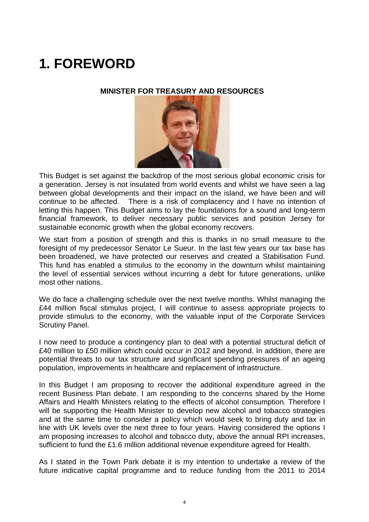### <span id="page-4-0"></span>**1. FOREWORD**

#### **MINISTER FOR TREASURY AND RESOURCES**



This Budget is set against the backdrop of the most serious global economic crisis for a generation. Jersey is not insulated from world events and whilst we have seen a lag between global developments and their impact on the island, we have been and will continue to be affected. There is a risk of complacency and I have no intention of letting this happen. This Budget aims to lay the foundations for a sound and long-term financial framework, to deliver necessary public services and position Jersey for sustainable economic growth when the global economy recovers.

We start from a position of strength and this is thanks in no small measure to the foresight of my predecessor Senator Le Sueur. In the last few years our tax base has been broadened, we have protected our reserves and created a Stabilisation Fund. This fund has enabled a stimulus to the economy in the downturn whilst maintaining the level of essential services without incurring a debt for future generations, unlike most other nations.

We do face a challenging schedule over the next twelve months. Whilst managing the £44 million fiscal stimulus project, I will continue to assess appropriate projects to provide stimulus to the economy, with the valuable input of the Corporate Services Scrutiny Panel.

I now need to produce a contingency plan to deal with a potential structural deficit of £40 million to £50 million which could occur in 2012 and beyond. In addition, there are potential threats to our tax structure and significant spending pressures of an ageing population, improvements in healthcare and replacement of infrastructure.

In this Budget I am proposing to recover the additional expenditure agreed in the recent Business Plan debate. I am responding to the concerns shared by the Home Affairs and Health Ministers relating to the effects of alcohol consumption. Therefore I will be supporting the Health Minister to develop new alcohol and tobacco strategies and at the same time to consider a policy which would seek to bring duty and tax in line with UK levels over the next three to four years. Having considered the options I am proposing increases to alcohol and tobacco duty, above the annual RPI increases, sufficient to fund the £1.6 million additional revenue expenditure agreed for Health.

As I stated in the Town Park debate it is my intention to undertake a review of the future indicative capital programme and to reduce funding from the 2011 to 2014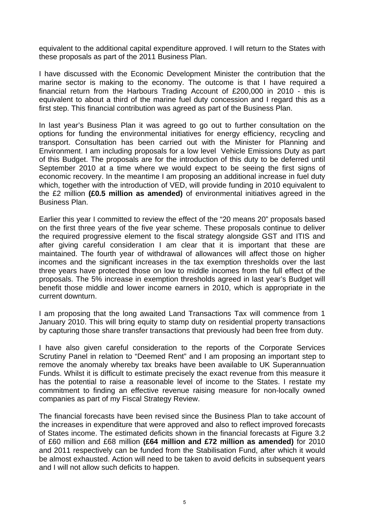equivalent to the additional capital expenditure approved. I will return to the States with these proposals as part of the 2011 Business Plan.

I have discussed with the Economic Development Minister the contribution that the marine sector is making to the economy. The outcome is that I have required a financial return from the Harbours Trading Account of £200,000 in 2010 - this is equivalent to about a third of the marine fuel duty concession and I regard this as a first step. This financial contribution was agreed as part of the Business Plan.

In last year's Business Plan it was agreed to go out to further consultation on the options for funding the environmental initiatives for energy efficiency, recycling and transport. Consultation has been carried out with the Minister for Planning and Environment. I am including proposals for a low level Vehicle Emissions Duty as part of this Budget. The proposals are for the introduction of this duty to be deferred until September 2010 at a time where we would expect to be seeing the first signs of economic recovery. In the meantime I am proposing an additional increase in fuel duty which, together with the introduction of VED, will provide funding in 2010 equivalent to the £2 million **(£0.5 million as amended)** of environmental initiatives agreed in the Business Plan.

Earlier this year I committed to review the effect of the "20 means 20" proposals based on the first three years of the five year scheme. These proposals continue to deliver the required progressive element to the fiscal strategy alongside GST and ITIS and after giving careful consideration I am clear that it is important that these are maintained. The fourth year of withdrawal of allowances will affect those on higher incomes and the significant increases in the tax exemption thresholds over the last three years have protected those on low to middle incomes from the full effect of the proposals. The 5% increase in exemption thresholds agreed in last year's Budget will benefit those middle and lower income earners in 2010, which is appropriate in the current downturn.

I am proposing that the long awaited Land Transactions Tax will commence from 1 January 2010. This will bring equity to stamp duty on residential property transactions by capturing those share transfer transactions that previously had been free from duty.

I have also given careful consideration to the reports of the Corporate Services Scrutiny Panel in relation to "Deemed Rent" and I am proposing an important step to remove the anomaly whereby tax breaks have been available to UK Superannuation Funds. Whilst it is difficult to estimate precisely the exact revenue from this measure it has the potential to raise a reasonable level of income to the States. I restate my commitment to finding an effective revenue raising measure for non-locally owned companies as part of my Fiscal Strategy Review.

The financial forecasts have been revised since the Business Plan to take account of the increases in expenditure that were approved and also to reflect improved forecasts of States income. The estimated deficits shown in the financial forecasts at Figure 3.2 of £60 million and £68 million **(£64 million and £72 million as amended)** for 2010 and 2011 respectively can be funded from the Stabilisation Fund, after which it would be almost exhausted. Action will need to be taken to avoid deficits in subsequent years and I will not allow such deficits to happen.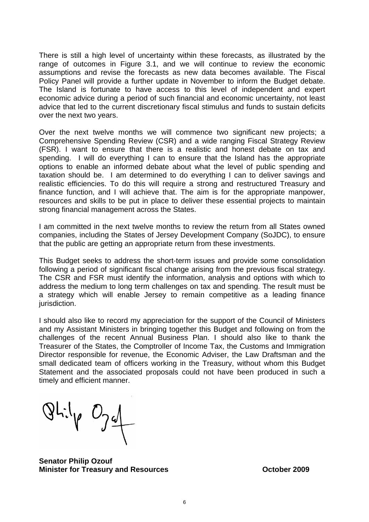There is still a high level of uncertainty within these forecasts, as illustrated by the range of outcomes in Figure 3.1, and we will continue to review the economic assumptions and revise the forecasts as new data becomes available. The Fiscal Policy Panel will provide a further update in November to inform the Budget debate. The Island is fortunate to have access to this level of independent and expert economic advice during a period of such financial and economic uncertainty, not least advice that led to the current discretionary fiscal stimulus and funds to sustain deficits over the next two years.

Over the next twelve months we will commence two significant new projects; a Comprehensive Spending Review (CSR) and a wide ranging Fiscal Strategy Review (FSR). I want to ensure that there is a realistic and honest debate on tax and spending. I will do everything I can to ensure that the Island has the appropriate options to enable an informed debate about what the level of public spending and taxation should be. I am determined to do everything I can to deliver savings and realistic efficiencies. To do this will require a strong and restructured Treasury and finance function, and I will achieve that. The aim is for the appropriate manpower, resources and skills to be put in place to deliver these essential projects to maintain strong financial management across the States.

I am committed in the next twelve months to review the return from all States owned companies, including the States of Jersey Development Company (SoJDC), to ensure that the public are getting an appropriate return from these investments.

This Budget seeks to address the short-term issues and provide some consolidation following a period of significant fiscal change arising from the previous fiscal strategy. The CSR and FSR must identify the information, analysis and options with which to address the medium to long term challenges on tax and spending. The result must be a strategy which will enable Jersey to remain competitive as a leading finance jurisdiction.

I should also like to record my appreciation for the support of the Council of Ministers and my Assistant Ministers in bringing together this Budget and following on from the challenges of the recent Annual Business Plan. I should also like to thank the Treasurer of the States, the Comptroller of Income Tax, the Customs and Immigration Director responsible for revenue, the Economic Adviser, the Law Draftsman and the small dedicated team of officers working in the Treasury, without whom this Budget Statement and the associated proposals could not have been produced in such a timely and efficient manner.

 $QLilpQd$ 

**Senator Philip Ozouf Minister for Treasury and Resources Constrainer Constrainer Constrainer Property Constrainer Property Constrainer**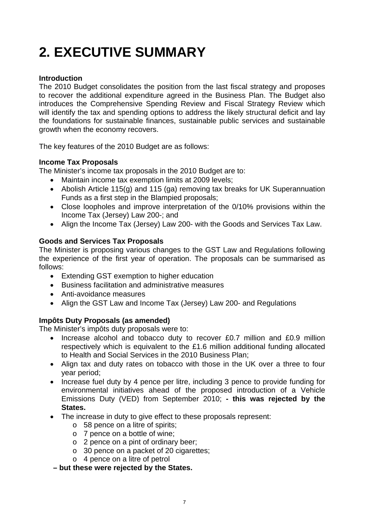### <span id="page-7-0"></span>**2. EXECUTIVE SUMMARY**

#### **Introduction**

The 2010 Budget consolidates the position from the last fiscal strategy and proposes to recover the additional expenditure agreed in the Business Plan. The Budget also introduces the Comprehensive Spending Review and Fiscal Strategy Review which will identify the tax and spending options to address the likely structural deficit and lay the foundations for sustainable finances, sustainable public services and sustainable growth when the economy recovers.

The key features of the 2010 Budget are as follows:

#### **Income Tax Proposals**

The Minister's income tax proposals in the 2010 Budget are to:

- Maintain income tax exemption limits at 2009 levels;
- Abolish Article 115(g) and 115 (ga) removing tax breaks for UK Superannuation Funds as a first step in the Blampied proposals;
- Close loopholes and improve interpretation of the 0/10% provisions within the Income Tax (Jersey) Law 200-; and
- Align the Income Tax (Jersey) Law 200- with the Goods and Services Tax Law.

#### **Goods and Services Tax Proposals**

The Minister is proposing various changes to the GST Law and Regulations following the experience of the first year of operation. The proposals can be summarised as follows:

- Extending GST exemption to higher education
- Business facilitation and administrative measures
- Anti-avoidance measures
- Align the GST Law and Income Tax (Jersey) Law 200- and Regulations

#### **Impôts Duty Proposals (as amended)**

The Minister's impôts duty proposals were to:

- Increase alcohol and tobacco duty to recover £0.7 million and £0.9 million respectively which is equivalent to the £1.6 million additional funding allocated to Health and Social Services in the 2010 Business Plan;
- Align tax and duty rates on tobacco with those in the UK over a three to four year period;
- Increase fuel duty by 4 pence per litre, including 3 pence to provide funding for environmental initiatives ahead of the proposed introduction of a Vehicle Emissions Duty (VED) from September 2010; **- this was rejected by the States.**
- The increase in duty to give effect to these proposals represent:
	- o 58 pence on a litre of spirits;
	- o 7 pence on a bottle of wine;
	- o 2 pence on a pint of ordinary beer;
	- o 30 pence on a packet of 20 cigarettes;
	- o 4 pence on a litre of petrol

#### **– but these were rejected by the States.**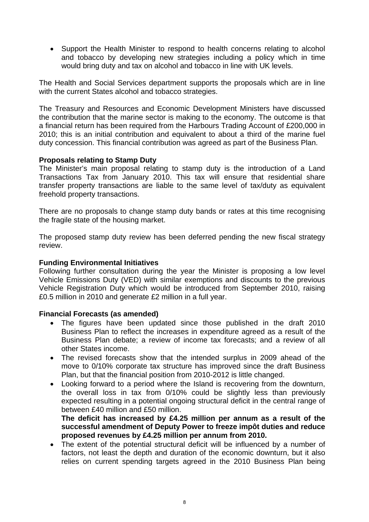• Support the Health Minister to respond to health concerns relating to alcohol and tobacco by developing new strategies including a policy which in time would bring duty and tax on alcohol and tobacco in line with UK levels.

The Health and Social Services department supports the proposals which are in line with the current States alcohol and tobacco strategies.

The Treasury and Resources and Economic Development Ministers have discussed the contribution that the marine sector is making to the economy. The outcome is that a financial return has been required from the Harbours Trading Account of £200,000 in 2010; this is an initial contribution and equivalent to about a third of the marine fuel duty concession. This financial contribution was agreed as part of the Business Plan.

#### **Proposals relating to Stamp Duty**

The Minister's main proposal relating to stamp duty is the introduction of a Land Transactions Tax from January 2010. This tax will ensure that residential share transfer property transactions are liable to the same level of tax/duty as equivalent freehold property transactions.

There are no proposals to change stamp duty bands or rates at this time recognising the fragile state of the housing market.

The proposed stamp duty review has been deferred pending the new fiscal strategy review.

#### **Funding Environmental Initiatives**

Following further consultation during the year the Minister is proposing a low level Vehicle Emissions Duty (VED) with similar exemptions and discounts to the previous Vehicle Registration Duty which would be introduced from September 2010, raising £0.5 million in 2010 and generate £2 million in a full year.

#### **Financial Forecasts (as amended)**

- The figures have been updated since those published in the draft 2010 Business Plan to reflect the increases in expenditure agreed as a result of the Business Plan debate; a review of income tax forecasts; and a review of all other States income.
- The revised forecasts show that the intended surplus in 2009 ahead of the move to 0/10% corporate tax structure has improved since the draft Business Plan, but that the financial position from 2010-2012 is little changed.
- Looking forward to a period where the Island is recovering from the downturn, the overall loss in tax from 0/10% could be slightly less than previously expected resulting in a potential ongoing structural deficit in the central range of between £40 million and £50 million.

**The deficit has increased by £4.25 million per annum as a result of the successful amendment of Deputy Power to freeze impôt duties and reduce proposed revenues by £4.25 million per annum from 2010.** 

 The extent of the potential structural deficit will be influenced by a number of factors, not least the depth and duration of the economic downturn, but it also relies on current spending targets agreed in the 2010 Business Plan being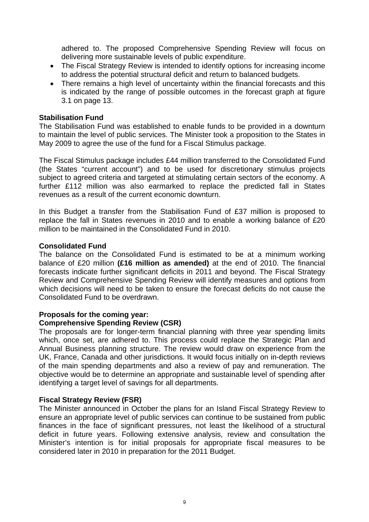adhered to. The proposed Comprehensive Spending Review will focus on delivering more sustainable levels of public expenditure.

- The Fiscal Strategy Review is intended to identify options for increasing income to address the potential structural deficit and return to balanced budgets.
- There remains a high level of uncertainty within the financial forecasts and this is indicated by the range of possible outcomes in the forecast graph at figure 3.1 on page 13.

#### **Stabilisation Fund**

The Stabilisation Fund was established to enable funds to be provided in a downturn to maintain the level of public services. The Minister took a proposition to the States in May 2009 to agree the use of the fund for a Fiscal Stimulus package.

The Fiscal Stimulus package includes £44 million transferred to the Consolidated Fund (the States "current account") and to be used for discretionary stimulus projects subject to agreed criteria and targeted at stimulating certain sectors of the economy. A further £112 million was also earmarked to replace the predicted fall in States revenues as a result of the current economic downturn.

In this Budget a transfer from the Stabilisation Fund of £37 million is proposed to replace the fall in States revenues in 2010 and to enable a working balance of £20 million to be maintained in the Consolidated Fund in 2010.

#### **Consolidated Fund**

The balance on the Consolidated Fund is estimated to be at a minimum working balance of £20 million **(£16 million as amended)** at the end of 2010. The financial forecasts indicate further significant deficits in 2011 and beyond. The Fiscal Strategy Review and Comprehensive Spending Review will identify measures and options from which decisions will need to be taken to ensure the forecast deficits do not cause the Consolidated Fund to be overdrawn.

#### **Proposals for the coming year:**

#### **Comprehensive Spending Review (CSR)**

The proposals are for longer-term financial planning with three year spending limits which, once set, are adhered to. This process could replace the Strategic Plan and Annual Business planning structure. The review would draw on experience from the UK, France, Canada and other jurisdictions. It would focus initially on in-depth reviews of the main spending departments and also a review of pay and remuneration. The objective would be to determine an appropriate and sustainable level of spending after identifying a target level of savings for all departments.

#### **Fiscal Strategy Review (FSR)**

The Minister announced in October the plans for an Island Fiscal Strategy Review to ensure an appropriate level of public services can continue to be sustained from public finances in the face of significant pressures, not least the likelihood of a structural deficit in future years. Following extensive analysis, review and consultation the Minister's intention is for initial proposals for appropriate fiscal measures to be considered later in 2010 in preparation for the 2011 Budget.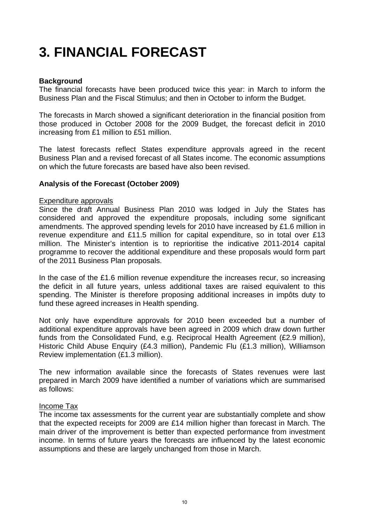### <span id="page-10-0"></span>**3. FINANCIAL FORECAST**

#### **Background**

The financial forecasts have been produced twice this year: in March to inform the Business Plan and the Fiscal Stimulus; and then in October to inform the Budget.

The forecasts in March showed a significant deterioration in the financial position from those produced in October 2008 for the 2009 Budget, the forecast deficit in 2010 increasing from £1 million to £51 million.

The latest forecasts reflect States expenditure approvals agreed in the recent Business Plan and a revised forecast of all States income. The economic assumptions on which the future forecasts are based have also been revised.

#### **Analysis of the Forecast (October 2009)**

#### Expenditure approvals

Since the draft Annual Business Plan 2010 was lodged in July the States has considered and approved the expenditure proposals, including some significant amendments. The approved spending levels for 2010 have increased by £1.6 million in revenue expenditure and £11.5 million for capital expenditure, so in total over £13 million. The Minister's intention is to reprioritise the indicative 2011-2014 capital programme to recover the additional expenditure and these proposals would form part of the 2011 Business Plan proposals.

In the case of the £1.6 million revenue expenditure the increases recur, so increasing the deficit in all future years, unless additional taxes are raised equivalent to this spending. The Minister is therefore proposing additional increases in impôts duty to fund these agreed increases in Health spending.

Not only have expenditure approvals for 2010 been exceeded but a number of additional expenditure approvals have been agreed in 2009 which draw down further funds from the Consolidated Fund, e.g. Reciprocal Health Agreement (£2.9 million), Historic Child Abuse Enquiry (£4.3 million), Pandemic Flu (£1.3 million), Williamson Review implementation (£1.3 million).

The new information available since the forecasts of States revenues were last prepared in March 2009 have identified a number of variations which are summarised as follows:

#### Income Tax

The income tax assessments for the current year are substantially complete and show that the expected receipts for 2009 are £14 million higher than forecast in March. The main driver of the improvement is better than expected performance from investment income. In terms of future years the forecasts are influenced by the latest economic assumptions and these are largely unchanged from those in March.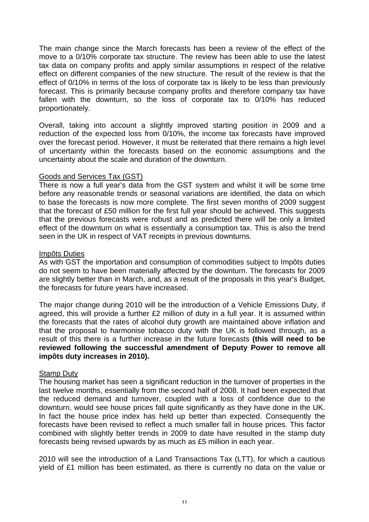The main change since the March forecasts has been a review of the effect of the move to a 0/10% corporate tax structure. The review has been able to use the latest tax data on company profits and apply similar assumptions in respect of the relative effect on different companies of the new structure. The result of the review is that the effect of 0/10% in terms of the loss of corporate tax is likely to be less than previously forecast. This is primarily because company profits and therefore company tax have fallen with the downturn, so the loss of corporate tax to 0/10% has reduced proportionately.

Overall, taking into account a slightly improved starting position in 2009 and a reduction of the expected loss from 0/10%, the income tax forecasts have improved over the forecast period. However, it must be reiterated that there remains a high level of uncertainty within the forecasts based on the economic assumptions and the uncertainty about the scale and duration of the downturn.

#### Goods and Services Tax (GST)

There is now a full year's data from the GST system and whilst it will be some time before any reasonable trends or seasonal variations are identified, the data on which to base the forecasts is now more complete. The first seven months of 2009 suggest that the forecast of £50 million for the first full year should be achieved. This suggests that the previous forecasts were robust and as predicted there will be only a limited effect of the downturn on what is essentially a consumption tax. This is also the trend seen in the UK in respect of VAT receipts in previous downturns.

#### Impôts Duties

As with GST the importation and consumption of commodities subject to Impôts duties do not seem to have been materially affected by the downturn. The forecasts for 2009 are slightly better than in March, and, as a result of the proposals in this year's Budget, the forecasts for future years have increased.

The major change during 2010 will be the introduction of a Vehicle Emissions Duty, if agreed, this will provide a further £2 million of duty in a full year. It is assumed within the forecasts that the rates of alcohol duty growth are maintained above inflation and that the proposal to harmonise tobacco duty with the UK is followed through, as a result of this there is a further increase in the future forecasts **(this will need to be reviewed following the successful amendment of Deputy Power to remove all impôts duty increases in 2010).**

#### Stamp Duty

The housing market has seen a significant reduction in the turnover of properties in the last twelve months, essentially from the second half of 2008. It had been expected that the reduced demand and turnover, coupled with a loss of confidence due to the downturn, would see house prices fall quite significantly as they have done in the UK. In fact the house price index has held up better than expected. Consequently the forecasts have been revised to reflect a much smaller fall in house prices. This factor combined with slightly better trends in 2009 to date have resulted in the stamp duty forecasts being revised upwards by as much as £5 million in each year.

2010 will see the introduction of a Land Transactions Tax (LTT), for which a cautious yield of £1 million has been estimated, as there is currently no data on the value or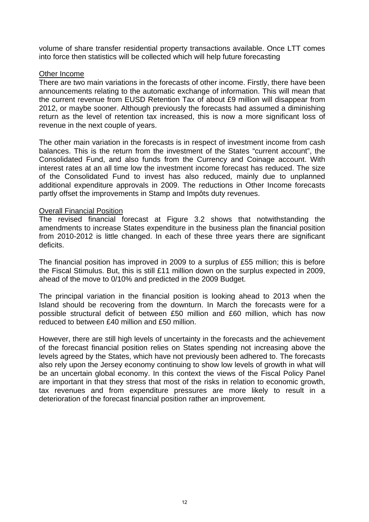volume of share transfer residential property transactions available. Once LTT comes into force then statistics will be collected which will help future forecasting

#### Other Income

There are two main variations in the forecasts of other income. Firstly, there have been announcements relating to the automatic exchange of information. This will mean that the current revenue from EUSD Retention Tax of about £9 million will disappear from 2012, or maybe sooner. Although previously the forecasts had assumed a diminishing return as the level of retention tax increased, this is now a more significant loss of revenue in the next couple of years.

The other main variation in the forecasts is in respect of investment income from cash balances. This is the return from the investment of the States "current account", the Consolidated Fund, and also funds from the Currency and Coinage account. With interest rates at an all time low the investment income forecast has reduced. The size of the Consolidated Fund to invest has also reduced, mainly due to unplanned additional expenditure approvals in 2009. The reductions in Other Income forecasts partly offset the improvements in Stamp and Impôts duty revenues.

#### Overall Financial Position

The revised financial forecast at Figure 3.2 shows that notwithstanding the amendments to increase States expenditure in the business plan the financial position from 2010-2012 is little changed. In each of these three years there are significant deficits.

The financial position has improved in 2009 to a surplus of £55 million; this is before the Fiscal Stimulus. But, this is still £11 million down on the surplus expected in 2009, ahead of the move to 0/10% and predicted in the 2009 Budget.

The principal variation in the financial position is looking ahead to 2013 when the Island should be recovering from the downturn. In March the forecasts were for a possible structural deficit of between £50 million and £60 million, which has now reduced to between £40 million and £50 million.

However, there are still high levels of uncertainty in the forecasts and the achievement of the forecast financial position relies on States spending not increasing above the levels agreed by the States, which have not previously been adhered to. The forecasts also rely upon the Jersey economy continuing to show low levels of growth in what will be an uncertain global economy. In this context the views of the Fiscal Policy Panel are important in that they stress that most of the risks in relation to economic growth, tax revenues and from expenditure pressures are more likely to result in a deterioration of the forecast financial position rather an improvement.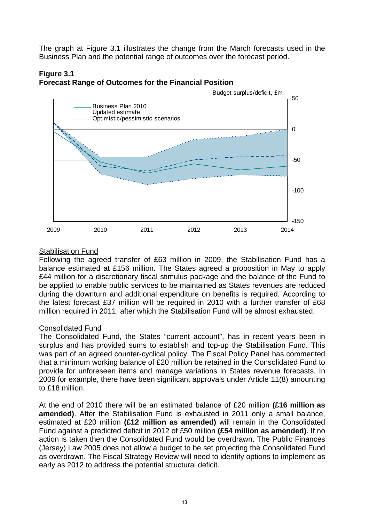<span id="page-13-0"></span>The graph at Figure 3.1 illustrates the change from the March forecasts used in the Business Plan and the potential range of outcomes over the forecast period.





#### Stabilisation Fund

Following the agreed transfer of £63 million in 2009, the Stabilisation Fund has a balance estimated at £156 million. The States agreed a proposition in May to apply £44 million for a discretionary fiscal stimulus package and the balance of the Fund to be applied to enable public services to be maintained as States revenues are reduced during the downturn and additional expenditure on benefits is required. According to the latest forecast £37 million will be required in 2010 with a further transfer of £68 million required in 2011, after which the Stabilisation Fund will be almost exhausted.

#### Consolidated Fund

The Consolidated Fund, the States "current account", has in recent years been in surplus and has provided sums to establish and top-up the Stabilisation Fund. This was part of an agreed counter-cyclical policy. The Fiscal Policy Panel has commented that a minimum working balance of £20 million be retained in the Consolidated Fund to provide for unforeseen items and manage variations in States revenue forecasts. In 2009 for example, there have been significant approvals under Article 11(8) amounting to £18 million.

At the end of 2010 there will be an estimated balance of £20 million **(£16 million as amended)**. After the Stabilisation Fund is exhausted in 2011 only a small balance, estimated at £20 million **(£12 million as amended)** will remain in the Consolidated Fund against a predicted deficit in 2012 of £50 million **(£54 million as amended)**. If no action is taken then the Consolidated Fund would be overdrawn. The Public Finances (Jersey) Law 2005 does not allow a budget to be set projecting the Consolidated Fund as overdrawn. The Fiscal Strategy Review will need to identify options to implement as early as 2012 to address the potential structural deficit.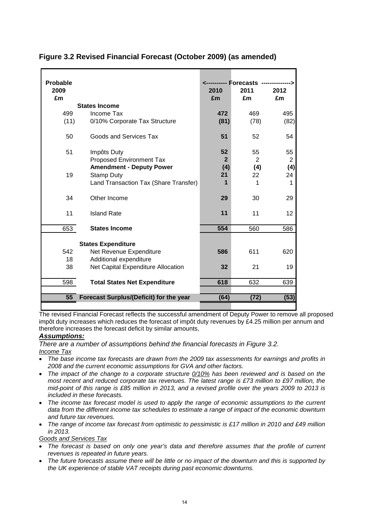| <b>Probable</b><br>2009<br>£m |                                         | <---------- Forecasts<br>2010<br>£m | 2011<br>£m | 2012<br>£m |
|-------------------------------|-----------------------------------------|-------------------------------------|------------|------------|
|                               | <b>States Income</b>                    |                                     |            |            |
| 499                           | Income Tax                              | 472                                 | 469        | 495        |
| (11)                          | 0/10% Corporate Tax Structure           | (81)                                | (78)       | (82)       |
| 50                            | Goods and Services Tax                  | 51                                  | 52         | 54         |
| 51                            | Impôts Duty                             | 52                                  | 55         | 55         |
|                               | <b>Proposed Environment Tax</b>         | $\overline{2}$                      | 2          | 2          |
|                               | <b>Amendment - Deputy Power</b>         | (4)                                 | (4)        | (4)        |
| 19                            | <b>Stamp Duty</b>                       | 21                                  | 22         | 24         |
|                               | Land Transaction Tax (Share Transfer)   | 1                                   | 1          | 1          |
| 34                            | Other Income                            | 29                                  | 30         | 29         |
| 11                            | <b>Island Rate</b>                      | 11                                  | 11         | 12         |
| 653                           | <b>States Income</b>                    | 554                                 | 560        | 586        |
|                               | <b>States Expenditure</b>               |                                     |            |            |
| 542                           | Net Revenue Expenditure                 | 586                                 | 611        | 620        |
| 18                            | Additional expenditure                  |                                     |            |            |
| 38                            | Net Capital Expenditure Allocation      | 32                                  | 21         | 19         |
|                               |                                         |                                     |            |            |
| 598                           | <b>Total States Net Expenditure</b>     | 618                                 | 632        | 639        |
| 55                            | Forecast Surplus/(Deficit) for the year | (64)                                | (72)       | (53)       |
|                               |                                         |                                     |            |            |

#### <span id="page-14-0"></span>**Figure 3.2 Revised Financial Forecast (October 2009) (as amended)**

The revised Financial Forecast reflects the successful amendment of Deputy Power to remove all proposed impôt duty increases which reduces the forecast of impôt duty revenues by  $£4.25$  million per annum and therefore increases the forecast deficit by similar amounts,

#### *Assumptions:*

*There are a number of assumptions behind the financial forecasts in Figure 3.2. Income Tax*

- *The base income tax forecasts are drawn from the 2009 tax assessments for earnings and profits in 2008 and the current economic assumptions for GVA and other factors.*
- *The impact of the change to a corporate structure 0/10% has been reviewed and is based on the most recent and reduced corporate tax revenues. The latest range is £73 million to £97 million, the mid-point of this range is £85 million in 2013, and a revised profile over the years 2009 to 2013 is included in these forecasts.*
- *The income tax forecast model is used to apply the range of economic assumptions to the current data from the different income tax schedules to estimate a range of impact of the economic downturn and future tax revenues.*
- *The range of income tax forecast from optimistic to pessimistic is £17 million in 2010 and £49 million in 2013.*

*Goods and Services Tax*

- *The forecast is based on only one year's data and therefore assumes that the profile of current revenues is repeated in future years.*
- *The future forecasts assume there will be little or no impact of the downturn and this is supported by the UK experience of stable VAT receipts during past economic downturns.*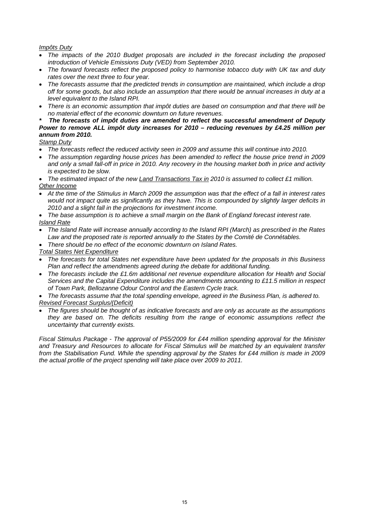#### <span id="page-15-0"></span>*Impôts Duty*

- *The impacts of the 2010 Budget proposals are included in the forecast including the proposed introduction of Vehicle Emissions Duty (VED) from September 2010.*
- *The forward forecasts reflect the proposed policy to harmonise tobacco duty with UK tax and duty rates over the next three to four year.*
- *The forecasts assume that the predicted trends in consumption are maintained, which include a drop off for some goods, but also include an assumption that there would be annual increases in duty at a level equivalent to the Island RPI.*
- *There is an economic assumption that impôt duties are based on consumption and that there will be no material effect of the economic downturn on future revenues.*

#### *\* The forecasts of impôt duties are amended to reflect the successful amendment of Deputy Power to remove ALL impôt duty increases for 2010 – reducing revenues by £4.25 million per annum from 2010.*

*Stamp Duty*

- *The forecasts reflect the reduced activity seen in 2009 and assume this will continue into 2010.*
- *The assumption regarding house prices has been amended to reflect the house price trend in 2009 and only a small fall-off in price in 2010. Any recovery in the housing market both in price and activity is expected to be slow.*

 *The estimated impact of the new Land Transactions Tax in 2010 is assumed to collect £1 million. Other Income*

 *At the time of the Stimulus in March 2009 the assumption was that the effect of a fall in interest rates would not impact quite as significantly as they have. This is compounded by slightly larger deficits in 2010 and a slight fall in the projections for investment income.* 

 *The base assumption is to achieve a small margin on the Bank of England forecast interest rate. Island Rate*

- *The Island Rate will increase annually according to the Island RPI (March) as prescribed in the Rates Law and the proposed rate is reported annually to the States by the Comité de Connétables.*
- *There should be no effect of the economic downturn on Island Rates.*

*Total States Net Expenditure*

- *The forecasts for total States net expenditure have been updated for the proposals in this Business Plan and reflect the amendments agreed during the debate for additional funding.*
- *The forecasts include the £1.6m additional net revenue expenditure allocation for Health and Social Services and the Capital Expenditure includes the amendments amounting to £11.5 million in respect of Town Park, Bellozanne Odour Control and the Eastern Cycle track.*

 *The forecasts assume that the total spending envelope, agreed in the Business Plan, is adhered to. Revised Forecast Surplus/(Deficit)*

 *The figures should be thought of as indicative forecasts and are only as accurate as the assumptions they are based on. The deficits resulting from the range of economic assumptions reflect the uncertainty that currently exists.* 

*Fiscal Stimulus Package - The approval of P55/2009 for £44 million spending approval for the Minister and Treasury and Resources to allocate for Fiscal Stimulus will be matched by an equivalent transfer*  from the Stabilisation Fund. While the spending approval by the States for £44 million is made in 2009 *the actual profile of the project spending will take place over 2009 to 2011.*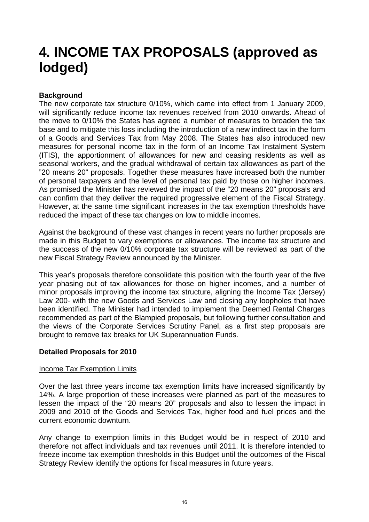### **4. INCOME TAX PROPOSALS (approved as lodged)**

#### **Background**

The new corporate tax structure 0/10%, which came into effect from 1 January 2009, will significantly reduce income tax revenues received from 2010 onwards. Ahead of the move to 0/10% the States has agreed a number of measures to broaden the tax base and to mitigate this loss including the introduction of a new indirect tax in the form of a Goods and Services Tax from May 2008. The States has also introduced new measures for personal income tax in the form of an Income Tax Instalment System (ITIS), the apportionment of allowances for new and ceasing residents as well as seasonal workers, and the gradual withdrawal of certain tax allowances as part of the "20 means 20" proposals. Together these measures have increased both the number of personal taxpayers and the level of personal tax paid by those on higher incomes. As promised the Minister has reviewed the impact of the "20 means 20" proposals and can confirm that they deliver the required progressive element of the Fiscal Strategy. However, at the same time significant increases in the tax exemption thresholds have reduced the impact of these tax changes on low to middle incomes.

Against the background of these vast changes in recent years no further proposals are made in this Budget to vary exemptions or allowances. The income tax structure and the success of the new 0/10% corporate tax structure will be reviewed as part of the new Fiscal Strategy Review announced by the Minister.

This year's proposals therefore consolidate this position with the fourth year of the five year phasing out of tax allowances for those on higher incomes, and a number of minor proposals improving the income tax structure, aligning the Income Tax (Jersey) Law 200- with the new Goods and Services Law and closing any loopholes that have been identified. The Minister had intended to implement the Deemed Rental Charges recommended as part of the Blampied proposals, but following further consultation and the views of the Corporate Services Scrutiny Panel, as a first step proposals are brought to remove tax breaks for UK Superannuation Funds.

#### **Detailed Proposals for 2010**

#### **Income Tax Exemption Limits**

Over the last three years income tax exemption limits have increased significantly by 14%. A large proportion of these increases were planned as part of the measures to lessen the impact of the "20 means 20" proposals and also to lessen the impact in 2009 and 2010 of the Goods and Services Tax, higher food and fuel prices and the current economic downturn.

Any change to exemption limits in this Budget would be in respect of 2010 and therefore not affect individuals and tax revenues until 2011. It is therefore intended to freeze income tax exemption thresholds in this Budget until the outcomes of the Fiscal Strategy Review identify the options for fiscal measures in future years.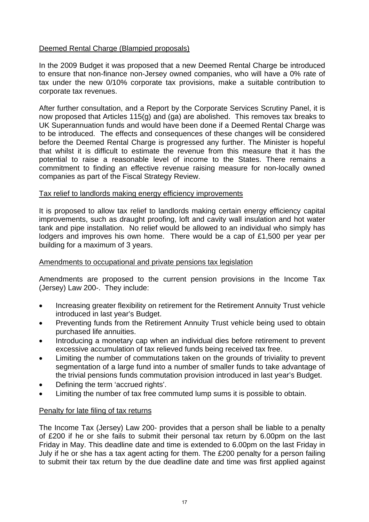#### Deemed Rental Charge (Blampied proposals)

In the 2009 Budget it was proposed that a new Deemed Rental Charge be introduced to ensure that non-finance non-Jersey owned companies, who will have a 0% rate of tax under the new 0/10% corporate tax provisions, make a suitable contribution to corporate tax revenues.

After further consultation, and a Report by the Corporate Services Scrutiny Panel, it is now proposed that Articles 115(g) and (ga) are abolished. This removes tax breaks to UK Superannuation funds and would have been done if a Deemed Rental Charge was to be introduced. The effects and consequences of these changes will be considered before the Deemed Rental Charge is progressed any further. The Minister is hopeful that whilst it is difficult to estimate the revenue from this measure that it has the potential to raise a reasonable level of income to the States. There remains a commitment to finding an effective revenue raising measure for non-locally owned companies as part of the Fiscal Strategy Review.

#### Tax relief to landlords making energy efficiency improvements

It is proposed to allow tax relief to landlords making certain energy efficiency capital improvements, such as draught proofing, loft and cavity wall insulation and hot water tank and pipe installation. No relief would be allowed to an individual who simply has lodgers and improves his own home. There would be a cap of £1,500 per year per building for a maximum of 3 years.

#### Amendments to occupational and private pensions tax legislation

Amendments are proposed to the current pension provisions in the Income Tax (Jersey) Law 200-. They include:

- Increasing greater flexibility on retirement for the Retirement Annuity Trust vehicle introduced in last year's Budget.
- Preventing funds from the Retirement Annuity Trust vehicle being used to obtain purchased life annuities.
- Introducing a monetary cap when an individual dies before retirement to prevent excessive accumulation of tax relieved funds being received tax free.
- Limiting the number of commutations taken on the grounds of triviality to prevent segmentation of a large fund into a number of smaller funds to take advantage of the trivial pensions funds commutation provision introduced in last year's Budget.
- Defining the term 'accrued rights'.
- Limiting the number of tax free commuted lump sums it is possible to obtain.

#### Penalty for late filing of tax returns

The Income Tax (Jersey) Law 200- provides that a person shall be liable to a penalty of £200 if he or she fails to submit their personal tax return by 6.00pm on the last Friday in May. This deadline date and time is extended to 6.00pm on the last Friday in July if he or she has a tax agent acting for them. The £200 penalty for a person failing to submit their tax return by the due deadline date and time was first applied against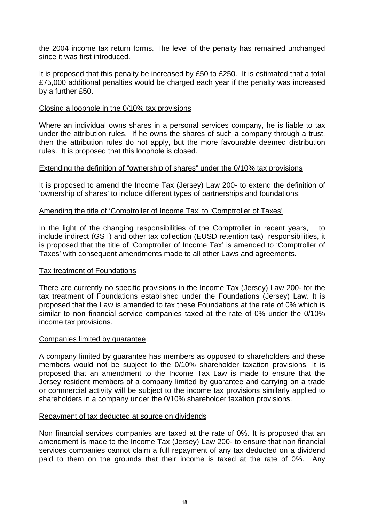the 2004 income tax return forms. The level of the penalty has remained unchanged since it was first introduced.

It is proposed that this penalty be increased by £50 to £250. It is estimated that a total £75,000 additional penalties would be charged each year if the penalty was increased by a further £50.

#### Closing a loophole in the 0/10% tax provisions

Where an individual owns shares in a personal services company, he is liable to tax under the attribution rules. If he owns the shares of such a company through a trust, then the attribution rules do not apply, but the more favourable deemed distribution rules. It is proposed that this loophole is closed.

#### Extending the definition of "ownership of shares" under the 0/10% tax provisions

It is proposed to amend the Income Tax (Jersey) Law 200- to extend the definition of 'ownership of shares' to include different types of partnerships and foundations.

#### Amending the title of 'Comptroller of Income Tax' to 'Comptroller of Taxes'

In the light of the changing responsibilities of the Comptroller in recent years, to include indirect (GST) and other tax collection (EUSD retention tax) responsibilities, it is proposed that the title of 'Comptroller of Income Tax' is amended to 'Comptroller of Taxes' with consequent amendments made to all other Laws and agreements.

#### Tax treatment of Foundations

There are currently no specific provisions in the Income Tax (Jersey) Law 200- for the tax treatment of Foundations established under the Foundations (Jersey) Law. It is proposed that the Law is amended to tax these Foundations at the rate of 0% which is similar to non financial service companies taxed at the rate of 0% under the 0/10% income tax provisions.

#### Companies limited by guarantee

A company limited by guarantee has members as opposed to shareholders and these members would not be subject to the 0/10% shareholder taxation provisions. It is proposed that an amendment to the Income Tax Law is made to ensure that the Jersey resident members of a company limited by guarantee and carrying on a trade or commercial activity will be subject to the income tax provisions similarly applied to shareholders in a company under the 0/10% shareholder taxation provisions.

#### Repayment of tax deducted at source on dividends

Non financial services companies are taxed at the rate of 0%. It is proposed that an amendment is made to the Income Tax (Jersey) Law 200- to ensure that non financial services companies cannot claim a full repayment of any tax deducted on a dividend paid to them on the grounds that their income is taxed at the rate of 0%. Any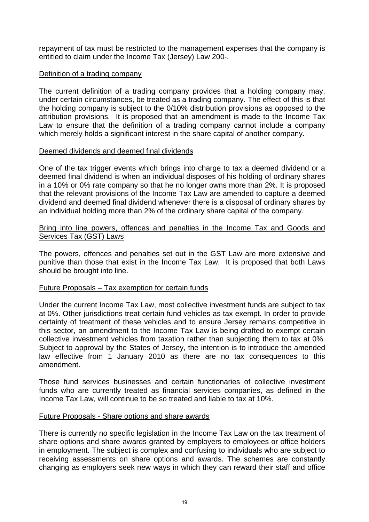repayment of tax must be restricted to the management expenses that the company is entitled to claim under the Income Tax (Jersey) Law 200-.

#### Definition of a trading company

The current definition of a trading company provides that a holding company may, under certain circumstances, be treated as a trading company. The effect of this is that the holding company is subject to the 0/10% distribution provisions as opposed to the attribution provisions. It is proposed that an amendment is made to the Income Tax Law to ensure that the definition of a trading company cannot include a company which merely holds a significant interest in the share capital of another company.

#### Deemed dividends and deemed final dividends

One of the tax trigger events which brings into charge to tax a deemed dividend or a deemed final dividend is when an individual disposes of his holding of ordinary shares in a 10% or 0% rate company so that he no longer owns more than 2%. It is proposed that the relevant provisions of the Income Tax Law are amended to capture a deemed dividend and deemed final dividend whenever there is a disposal of ordinary shares by an individual holding more than 2% of the ordinary share capital of the company.

#### Bring into line powers, offences and penalties in the Income Tax and Goods and Services Tax (GST) Laws

The powers, offences and penalties set out in the GST Law are more extensive and punitive than those that exist in the Income Tax Law. It is proposed that both Laws should be brought into line.

#### Future Proposals – Tax exemption for certain funds

Under the current Income Tax Law, most collective investment funds are subject to tax at 0%. Other jurisdictions treat certain fund vehicles as tax exempt. In order to provide certainty of treatment of these vehicles and to ensure Jersey remains competitive in this sector, an amendment to the Income Tax Law is being drafted to exempt certain collective investment vehicles from taxation rather than subjecting them to tax at 0%. Subject to approval by the States of Jersey, the intention is to introduce the amended law effective from 1 January 2010 as there are no tax consequences to this amendment.

Those fund services businesses and certain functionaries of collective investment funds who are currently treated as financial services companies, as defined in the Income Tax Law, will continue to be so treated and liable to tax at 10%.

#### Future Proposals - Share options and share awards

There is currently no specific legislation in the Income Tax Law on the tax treatment of share options and share awards granted by employers to employees or office holders in employment. The subject is complex and confusing to individuals who are subject to receiving assessments on share options and awards. The schemes are constantly changing as employers seek new ways in which they can reward their staff and office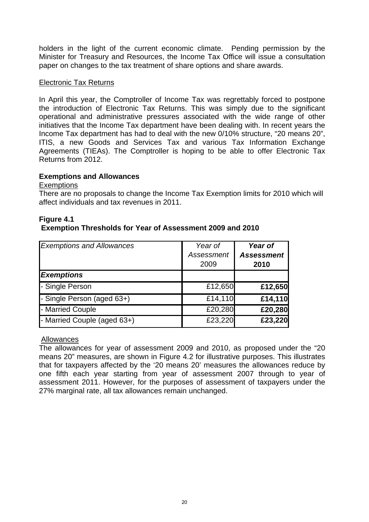<span id="page-20-0"></span>holders in the light of the current economic climate. Pending permission by the Minister for Treasury and Resources, the Income Tax Office will issue a consultation paper on changes to the tax treatment of share options and share awards.

#### Electronic Tax Returns

In April this year, the Comptroller of Income Tax was regrettably forced to postpone the introduction of Electronic Tax Returns. This was simply due to the significant operational and administrative pressures associated with the wide range of other initiatives that the Income Tax department have been dealing with. In recent years the Income Tax department has had to deal with the new 0/10% structure, "20 means 20", ITIS, a new Goods and Services Tax and various Tax Information Exchange Agreements (TIEAs). The Comptroller is hoping to be able to offer Electronic Tax Returns from 2012.

#### **Exemptions and Allowances**

**Exemptions** 

There are no proposals to change the Income Tax Exemption limits for 2010 which will affect individuals and tax revenues in 2011.

#### **Figure 4.1 Exemption Thresholds for Year of Assessment 2009 and 2010**

| <b>Exemptions and Allowances</b> | Year of<br><b>Assessment</b><br>2009 | Year of<br><b>Assessment</b><br>2010 |
|----------------------------------|--------------------------------------|--------------------------------------|
| <b>Exemptions</b>                |                                      |                                      |
| - Single Person                  | £12,650                              | £12,650                              |
| - Single Person (aged 63+)       | £14,110                              | £14,110                              |
| - Married Couple                 | £20,280                              | £20,280                              |
| - Married Couple (aged 63+)      | £23,220                              | £23,220                              |

Allowances

The allowances for year of assessment 2009 and 2010, as proposed under the "20 means 20" measures, are shown in Figure 4.2 for illustrative purposes. This illustrates that for taxpayers affected by the '20 means 20' measures the allowances reduce by one fifth each year starting from year of assessment 2007 through to year of assessment 2011. However, for the purposes of assessment of taxpayers under the 27% marginal rate, all tax allowances remain unchanged.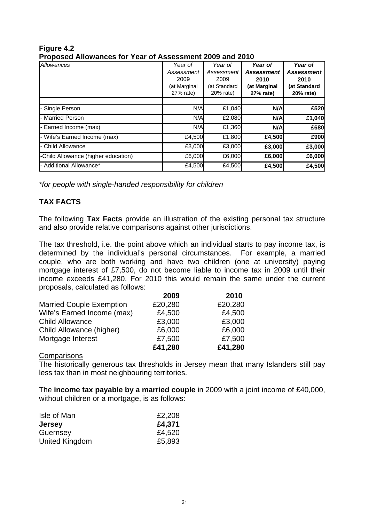| I TUDUSU ANUWANGO IUI TUATUT ASSOSSINGIN LUUS ANU LUTU |              |              |                   |                   |  |  |  |  |  |
|--------------------------------------------------------|--------------|--------------|-------------------|-------------------|--|--|--|--|--|
| Allowances                                             | Year of      | Year of      | Year of           | Year of           |  |  |  |  |  |
|                                                        | Assessment   | Assessment   | <b>Assessment</b> | <b>Assessment</b> |  |  |  |  |  |
|                                                        | 2009         | 2009         | 2010              | 2010              |  |  |  |  |  |
|                                                        | (at Marginal | (at Standard | (at Marginal      | (at Standard      |  |  |  |  |  |
|                                                        | 27% rate)    | 20% rate)    | 27% rate)         | 20% rate)         |  |  |  |  |  |
|                                                        |              |              |                   |                   |  |  |  |  |  |
| - Single Person                                        | N/A          | £1,040       | N/A               | £520              |  |  |  |  |  |
| - Married Person                                       | N/A          | £2,080       | N/A               | £1,040            |  |  |  |  |  |
| - Earned Income (max)                                  | N/A          | £1,360       | N/A               | £680              |  |  |  |  |  |
| - Wife's Earned Income (max)                           | £4,500       | £1,800       | £4,500            | £900              |  |  |  |  |  |
| - Child Allowance                                      | £3,000       | £3,000       | £3,000            | £3,000            |  |  |  |  |  |
| -Child Allowance (higher education)                    | £6,000       | £6,000       | £6,000            | £6,000            |  |  |  |  |  |
| - Additional Allowance*                                | £4,500       | £4,500       | £4,500            | £4,500            |  |  |  |  |  |

#### **Figure 4.2 Proposed Allowances for Year of Assessment 2009 and 2010**

 *\*for people with single-handed responsibility for children* 

#### **TAX FACTS**

The following **Tax Facts** provide an illustration of the existing personal tax structure and also provide relative comparisons against other jurisdictions.

The tax threshold, i.e. the point above which an individual starts to pay income tax, is determined by the individual's personal circumstances. For example, a married couple, who are both working and have two children (one at university) paying mortgage interest of £7,500, do not become liable to income tax in 2009 until their income exceeds £41,280. For 2010 this would remain the same under the current proposals, calculated as follows:

|                                 | 2009    | 2010    |
|---------------------------------|---------|---------|
| <b>Married Couple Exemption</b> | £20,280 | £20,280 |
| Wife's Earned Income (max)      | £4,500  | £4,500  |
| <b>Child Allowance</b>          | £3,000  | £3,000  |
| Child Allowance (higher)        | £6,000  | £6,000  |
| Mortgage Interest               | £7,500  | £7,500  |
|                                 | £41,280 | £41,280 |

#### **Comparisons**

The historically generous tax thresholds in Jersey mean that many Islanders still pay less tax than in most neighbouring territories.

The **income tax payable by a married couple** in 2009 with a joint income of £40,000, without children or a mortgage, is as follows:

| Isle of Man    | £2,208 |
|----------------|--------|
| <b>Jersey</b>  | £4,371 |
| Guernsey       | £4,520 |
| United Kingdom | £5,893 |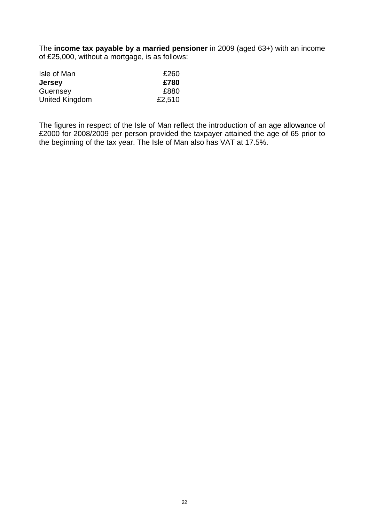<span id="page-22-0"></span>The **income tax payable by a married pensioner** in 2009 (aged 63+) with an income of £25,000, without a mortgage, is as follows:

| Isle of Man    | £260   |
|----------------|--------|
| <b>Jersey</b>  | £780   |
| Guernsey       | £880   |
| United Kingdom | £2,510 |

The figures in respect of the Isle of Man reflect the introduction of an age allowance of £2000 for 2008/2009 per person provided the taxpayer attained the age of 65 prior to the beginning of the tax year. The Isle of Man also has VAT at 17.5%.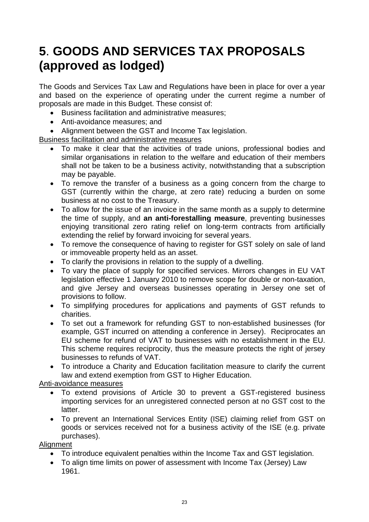### **5**. **GOODS AND SERVICES TAX PROPOSALS (approved as lodged)**

The Goods and Services Tax Law and Regulations have been in place for over a year and based on the experience of operating under the current regime a number of proposals are made in this Budget. These consist of:

- Business facilitation and administrative measures;
- Anti-avoidance measures; and
- Alignment between the GST and Income Tax legislation.

Business facilitation and administrative measures

- To make it clear that the activities of trade unions, professional bodies and similar organisations in relation to the welfare and education of their members shall not be taken to be a business activity, notwithstanding that a subscription may be payable.
- To remove the transfer of a business as a going concern from the charge to GST (currently within the charge, at zero rate) reducing a burden on some business at no cost to the Treasury.
- To allow for the issue of an invoice in the same month as a supply to determine the time of supply, and **an anti-forestalling measure**, preventing businesses enjoying transitional zero rating relief on long-term contracts from artificially extending the relief by forward invoicing for several years.
- To remove the consequence of having to register for GST solely on sale of land or immoveable property held as an asset.
- To clarify the provisions in relation to the supply of a dwelling.
- To vary the place of supply for specified services. Mirrors changes in EU VAT legislation effective 1 January 2010 to remove scope for double or non-taxation, and give Jersey and overseas businesses operating in Jersey one set of provisions to follow.
- To simplifying procedures for applications and payments of GST refunds to charities.
- To set out a framework for refunding GST to non-established businesses (for example, GST incurred on attending a conference in Jersey). Reciprocates an EU scheme for refund of VAT to businesses with no establishment in the EU. This scheme requires reciprocity, thus the measure protects the right of jersey businesses to refunds of VAT.
- To introduce a Charity and Education facilitation measure to clarify the current law and extend exemption from GST to Higher Education.

Anti-avoidance measures

- To extend provisions of Article 30 to prevent a GST-registered business importing services for an unregistered connected person at no GST cost to the latter.
- To prevent an International Services Entity (ISE) claiming relief from GST on goods or services received not for a business activity of the ISE (e.g. private purchases).

#### **Alignment**

- To introduce equivalent penalties within the Income Tax and GST legislation.
- To align time limits on power of assessment with Income Tax (Jersey) Law 1961.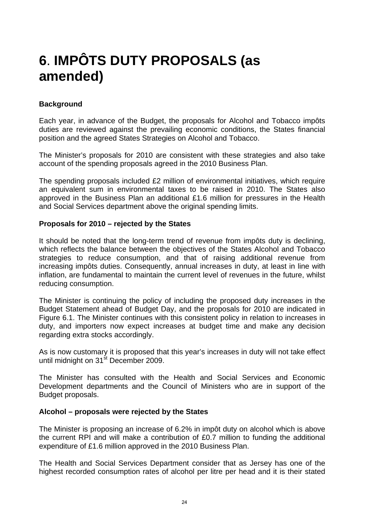### <span id="page-24-0"></span>**6**. **IMPÔTS DUTY PROPOSALS (as amended)**

#### **Background**

Each year, in advance of the Budget, the proposals for Alcohol and Tobacco impôts duties are reviewed against the prevailing economic conditions, the States financial position and the agreed States Strategies on Alcohol and Tobacco.

The Minister's proposals for 2010 are consistent with these strategies and also take account of the spending proposals agreed in the 2010 Business Plan.

The spending proposals included £2 million of environmental initiatives, which require an equivalent sum in environmental taxes to be raised in 2010. The States also approved in the Business Plan an additional £1.6 million for pressures in the Health and Social Services department above the original spending limits.

#### **Proposals for 2010 – rejected by the States**

It should be noted that the long-term trend of revenue from impôts duty is declining, which reflects the balance between the objectives of the States Alcohol and Tobacco strategies to reduce consumption, and that of raising additional revenue from increasing impôts duties. Consequently, annual increases in duty, at least in line with inflation, are fundamental to maintain the current level of revenues in the future, whilst reducing consumption.

The Minister is continuing the policy of including the proposed duty increases in the Budget Statement ahead of Budget Day, and the proposals for 2010 are indicated in Figure 6.1. The Minister continues with this consistent policy in relation to increases in duty, and importers now expect increases at budget time and make any decision regarding extra stocks accordingly.

As is now customary it is proposed that this year's increases in duty will not take effect until midnight on 31<sup>st</sup> December 2009.

The Minister has consulted with the Health and Social Services and Economic Development departments and the Council of Ministers who are in support of the Budget proposals.

#### **Alcohol – proposals were rejected by the States**

The Minister is proposing an increase of 6.2% in impôt duty on alcohol which is above the current RPI and will make a contribution of £0.7 million to funding the additional expenditure of £1.6 million approved in the 2010 Business Plan.

The Health and Social Services Department consider that as Jersey has one of the highest recorded consumption rates of alcohol per litre per head and it is their stated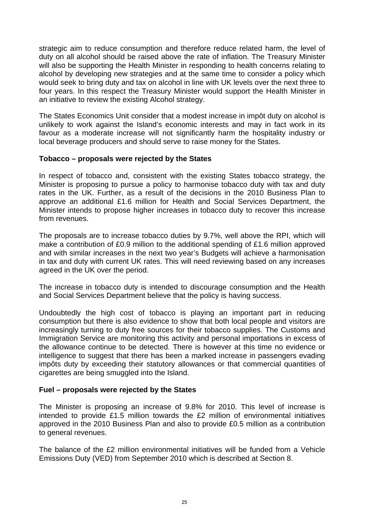strategic aim to reduce consumption and therefore reduce related harm, the level of duty on all alcohol should be raised above the rate of inflation. The Treasury Minister will also be supporting the Health Minister in responding to health concerns relating to alcohol by developing new strategies and at the same time to consider a policy which would seek to bring duty and tax on alcohol in line with UK levels over the next three to four years. In this respect the Treasury Minister would support the Health Minister in an initiative to review the existing Alcohol strategy.

The States Economics Unit consider that a modest increase in impôt duty on alcohol is unlikely to work against the Island's economic interests and may in fact work in its favour as a moderate increase will not significantly harm the hospitality industry or local beverage producers and should serve to raise money for the States.

#### **Tobacco – proposals were rejected by the States**

In respect of tobacco and, consistent with the existing States tobacco strategy, the Minister is proposing to pursue a policy to harmonise tobacco duty with tax and duty rates in the UK. Further, as a result of the decisions in the 2010 Business Plan to approve an additional £1.6 million for Health and Social Services Department, the Minister intends to propose higher increases in tobacco duty to recover this increase from revenues.

The proposals are to increase tobacco duties by 9.7%, well above the RPI, which will make a contribution of £0.9 million to the additional spending of £1.6 million approved and with similar increases in the next two year's Budgets will achieve a harmonisation in tax and duty with current UK rates. This will need reviewing based on any increases agreed in the UK over the period.

The increase in tobacco duty is intended to discourage consumption and the Health and Social Services Department believe that the policy is having success.

Undoubtedly the high cost of tobacco is playing an important part in reducing consumption but there is also evidence to show that both local people and visitors are increasingly turning to duty free sources for their tobacco supplies. The Customs and Immigration Service are monitoring this activity and personal importations in excess of the allowance continue to be detected. There is however at this time no evidence or intelligence to suggest that there has been a marked increase in passengers evading impôts duty by exceeding their statutory allowances or that commercial quantities of cigarettes are being smuggled into the Island.

#### **Fuel – proposals were rejected by the States**

The Minister is proposing an increase of 9.8% for 2010. This level of increase is intended to provide £1.5 million towards the £2 million of environmental initiatives approved in the 2010 Business Plan and also to provide £0.5 million as a contribution to general revenues.

The balance of the £2 million environmental initiatives will be funded from a Vehicle Emissions Duty (VED) from September 2010 which is described at Section 8.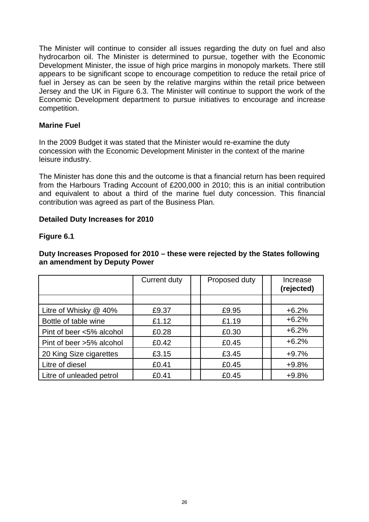<span id="page-26-0"></span>The Minister will continue to consider all issues regarding the duty on fuel and also hydrocarbon oil. The Minister is determined to pursue, together with the Economic Development Minister, the issue of high price margins in monopoly markets. There still appears to be significant scope to encourage competition to reduce the retail price of fuel in Jersey as can be seen by the relative margins within the retail price between Jersey and the UK in Figure 6.3. The Minister will continue to support the work of the Economic Development department to pursue initiatives to encourage and increase competition.

#### **Marine Fuel**

In the 2009 Budget it was stated that the Minister would re-examine the duty concession with the Economic Development Minister in the context of the marine leisure industry.

The Minister has done this and the outcome is that a financial return has been required from the Harbours Trading Account of £200,000 in 2010; this is an initial contribution and equivalent to about a third of the marine fuel duty concession. This financial contribution was agreed as part of the Business Plan.

#### **Detailed Duty Increases for 2010**

#### **Figure 6.1**

#### **Duty Increases Proposed for 2010 – these were rejected by the States following an amendment by Deputy Power**

|                          | <b>Current duty</b> | Proposed duty | Increase<br>(rejected) |
|--------------------------|---------------------|---------------|------------------------|
|                          |                     |               |                        |
| Litre of Whisky $@$ 40%  | £9.37               | £9.95         | $+6.2%$                |
| Bottle of table wine     | £1.12               | £1.19         | $+6.2%$                |
| Pint of beer <5% alcohol | £0.28               | £0.30         | $+6.2%$                |
| Pint of beer >5% alcohol | £0.42               | £0.45         | $+6.2%$                |
| 20 King Size cigarettes  | £3.15               | £3.45         | $+9.7%$                |
| Litre of diesel          | £0.41               | £0.45         | $+9.8%$                |
| Litre of unleaded petrol | £0.41               | £0.45         | $+9.8%$                |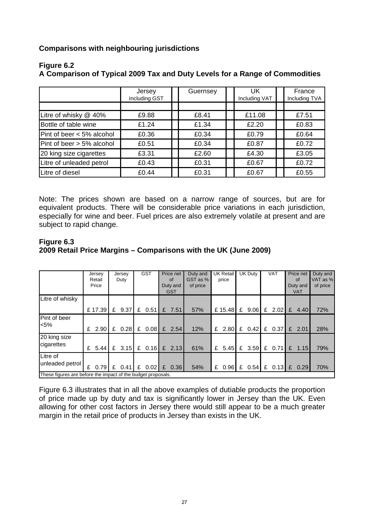<span id="page-27-0"></span>**Comparisons with neighbouring jurisdictions** 

|                           | Jersey<br>Including GST | Guernsey | UK<br>Including VAT | France<br>Including TVA |
|---------------------------|-------------------------|----------|---------------------|-------------------------|
|                           |                         |          |                     |                         |
| Litre of whisky @ 40%     | £9.88                   | £8.41    | £11.08              | £7.51                   |
| Bottle of table wine      | £1.24                   | £1.34    | £2.20               | £0.83                   |
| Pint of beer < 5% alcohol | £0.36                   | £0.34    | £0.79               | £0.64                   |
| Pint of beer > 5% alcohol | £0.51                   | £0.34    | £0.87               | £0.72                   |
| 20 king size cigarettes   | £3.31                   | £2.60    | £4.30               | £3.05                   |
| Litre of unleaded petrol  | £0.43                   | £0.31    | £0.67               | £0.72                   |
| Litre of diesel           | £0.44                   | £0.31    | £0.67               | £0.55                   |

#### **Figure 6.2**

**A Comparison of Typical 2009 Tax and Duty Levels for a Range of Commodities** 

Note: The prices shown are based on a narrow range of sources, but are for equivalent products. There will be considerable price variations in each jurisdiction, especially for wine and beer. Fuel prices are also extremely volatile at present and are subject to rapid change.

#### **Figure 6.3 2009 Retail Price Margins – Comparisons with the UK (June 2009)**

|                                                              |   | Jersey<br>Retail | Jersey<br>Duty |          | <b>GST</b> |                 | Price net<br>0f |                        | Duty and<br>GST as % |   | UK Retail<br>price | UK Duty |          | <b>VAT</b> |        |   | Price net<br><b>of</b> | Duty and<br>VAT as % |
|--------------------------------------------------------------|---|------------------|----------------|----------|------------|-----------------|-----------------|------------------------|----------------------|---|--------------------|---------|----------|------------|--------|---|------------------------|----------------------|
|                                                              |   | Price            |                |          |            |                 |                 | Duty and<br><b>GST</b> | of price             |   |                    |         |          |            |        |   | Duty and<br><b>VAT</b> | of price             |
| Litre of whisky                                              |   |                  |                |          |            |                 |                 |                        |                      |   |                    |         |          |            |        |   |                        |                      |
|                                                              |   | £17.39           | £              | 9.37     | £          | 0.51            | £               | 7.51                   | 57%                  |   | £15.48             | £       | 9.06     | £          | 2.02   | £ | 4.40                   | 72%                  |
| Pint of beer                                                 |   |                  |                |          |            |                 |                 |                        |                      |   |                    |         |          |            |        |   |                        |                      |
| $< 5\%$                                                      |   | $£$ 2.90         |                | £ 0.28   | £          |                 |                 | $0.08$ £ 2.54          | 12%                  |   | $£$ 2.80           |         | $£$ 0.42 |            | £ 0.37 |   | $£$ 2.01               | 28%                  |
| 20 king size                                                 |   |                  |                |          |            |                 |                 |                        |                      |   |                    |         |          |            |        |   |                        |                      |
| cigarettes                                                   | £ | 5.44             |                | £ $3.15$ |            | £ $0.16$ £ 2.13 |                 |                        | 61%                  | £ | 5.45               |         | £ $3.59$ | £          | 0.71   | E | 1.15                   | 79%                  |
| Litre of                                                     |   |                  |                |          |            |                 |                 |                        |                      |   |                    |         |          |            |        |   |                        |                      |
| unleaded petrol                                              | £ | $0.79$ £         |                | 0.41     | £          | $0.02$ £        |                 | 0.36                   | 54%                  | £ | 0.96               | £       | 0.54     | £          | 0.13   | E | 0.29                   | 70%                  |
| These figures are before the impact of the budget proposals. |   |                  |                |          |            |                 |                 |                        |                      |   |                    |         |          |            |        |   |                        |                      |

Figure 6.3 illustrates that in all the above examples of dutiable products the proportion of price made up by duty and tax is significantly lower in Jersey than the UK. Even allowing for other cost factors in Jersey there would still appear to be a much greater margin in the retail price of products in Jersey than exists in the UK.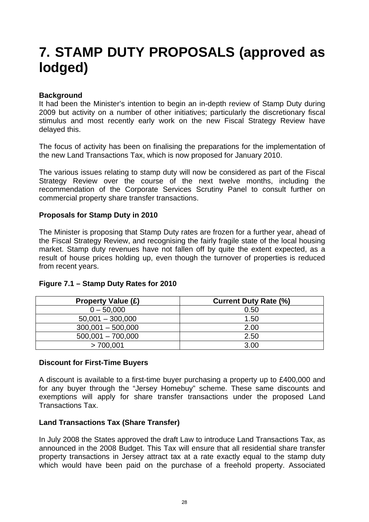### <span id="page-28-0"></span>**7. STAMP DUTY PROPOSALS (approved as lodged)**

#### **Background**

It had been the Minister's intention to begin an in-depth review of Stamp Duty during 2009 but activity on a number of other initiatives; particularly the discretionary fiscal stimulus and most recently early work on the new Fiscal Strategy Review have delayed this.

The focus of activity has been on finalising the preparations for the implementation of the new Land Transactions Tax, which is now proposed for January 2010.

The various issues relating to stamp duty will now be considered as part of the Fiscal Strategy Review over the course of the next twelve months, including the recommendation of the Corporate Services Scrutiny Panel to consult further on commercial property share transfer transactions.

#### **Proposals for Stamp Duty in 2010**

The Minister is proposing that Stamp Duty rates are frozen for a further year, ahead of the Fiscal Strategy Review, and recognising the fairly fragile state of the local housing market. Stamp duty revenues have not fallen off by quite the extent expected, as a result of house prices holding up, even though the turnover of properties is reduced from recent years.

| <b>Property Value (£)</b> | <b>Current Duty Rate (%)</b> |
|---------------------------|------------------------------|
| $0 - 50,000$              | 0.50                         |
| $50,001 - 300,000$        | 1.50                         |
| $300,001 - 500,000$       | 2.00                         |
| $500,001 - 700,000$       | 2.50                         |
| >700.001                  | 3.00                         |

#### **Figure 7.1 – Stamp Duty Rates for 2010**

#### **Discount for First-Time Buyers**

A discount is available to a first-time buyer purchasing a property up to £400,000 and for any buyer through the "Jersey Homebuy" scheme. These same discounts and exemptions will apply for share transfer transactions under the proposed Land Transactions Tax.

#### **Land Transactions Tax (Share Transfer)**

In July 2008 the States approved the draft Law to introduce Land Transactions Tax, as announced in the 2008 Budget. This Tax will ensure that all residential share transfer property transactions in Jersey attract tax at a rate exactly equal to the stamp duty which would have been paid on the purchase of a freehold property. Associated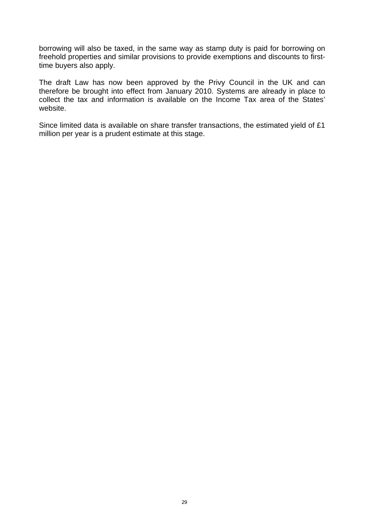borrowing will also be taxed, in the same way as stamp duty is paid for borrowing on freehold properties and similar provisions to provide exemptions and discounts to firsttime buyers also apply.

The draft Law has now been approved by the Privy Council in the UK and can therefore be brought into effect from January 2010. Systems are already in place to collect the tax and information is available on the Income Tax area of the States' website.

Since limited data is available on share transfer transactions, the estimated yield of £1 million per year is a prudent estimate at this stage.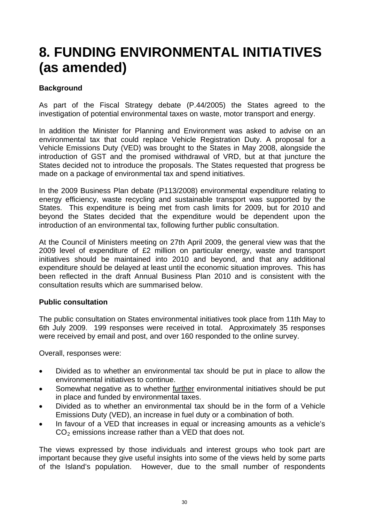### <span id="page-30-0"></span>**8. FUNDING ENVIRONMENTAL INITIATIVES (as amended)**

#### **Background**

As part of the Fiscal Strategy debate (P.44/2005) the States agreed to the investigation of potential environmental taxes on waste, motor transport and energy.

In addition the Minister for Planning and Environment was asked to advise on an environmental tax that could replace Vehicle Registration Duty. A proposal for a Vehicle Emissions Duty (VED) was brought to the States in May 2008, alongside the introduction of GST and the promised withdrawal of VRD, but at that juncture the States decided not to introduce the proposals. The States requested that progress be made on a package of environmental tax and spend initiatives.

In the 2009 Business Plan debate (P113/2008) environmental expenditure relating to energy efficiency, waste recycling and sustainable transport was supported by the States. This expenditure is being met from cash limits for 2009, but for 2010 and beyond the States decided that the expenditure would be dependent upon the introduction of an environmental tax, following further public consultation.

At the Council of Ministers meeting on 27th April 2009, the general view was that the 2009 level of expenditure of £2 million on particular energy, waste and transport initiatives should be maintained into 2010 and beyond, and that any additional expenditure should be delayed at least until the economic situation improves. This has been reflected in the draft Annual Business Plan 2010 and is consistent with the consultation results which are summarised below.

#### **Public consultation**

The public consultation on States environmental initiatives took place from 11th May to 6th July 2009. 199 responses were received in total. Approximately 35 responses were received by email and post, and over 160 responded to the online survey.

Overall, responses were:

- Divided as to whether an environmental tax should be put in place to allow the environmental initiatives to continue.
- Somewhat negative as to whether further environmental initiatives should be put in place and funded by environmental taxes.
- Divided as to whether an environmental tax should be in the form of a Vehicle Emissions Duty (VED), an increase in fuel duty or a combination of both.
- In favour of a VED that increases in equal or increasing amounts as a vehicle's  $CO<sub>2</sub>$  emissions increase rather than a VED that does not.

The views expressed by those individuals and interest groups who took part are important because they give useful insights into some of the views held by some parts of the Island's population. However, due to the small number of respondents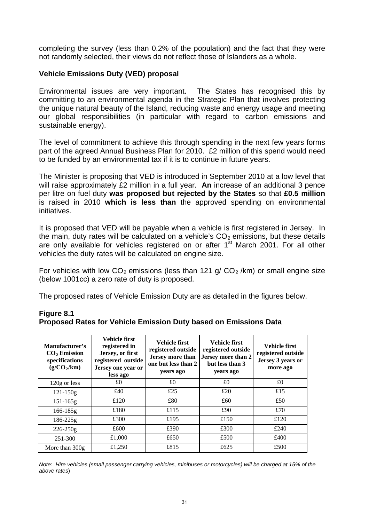<span id="page-31-0"></span>completing the survey (less than 0.2% of the population) and the fact that they were not randomly selected, their views do not reflect those of Islanders as a whole.

#### **Vehicle Emissions Duty (VED) proposal**

Environmental issues are very important. The States has recognised this by committing to an environmental agenda in the Strategic Plan that involves protecting the unique natural beauty of the Island, reducing waste and energy usage and meeting our global responsibilities (in particular with regard to carbon emissions and sustainable energy).

The level of commitment to achieve this through spending in the next few years forms part of the agreed Annual Business Plan for 2010. £2 million of this spend would need to be funded by an environmental tax if it is to continue in future years.

The Minister is proposing that VED is introduced in September 2010 at a low level that will raise approximately £2 million in a full year. **An** increase of an additional 3 pence per litre on fuel duty **was proposed but rejected by the States** so that **£0.5 million**  is raised in 2010 **which is less than** the approved spending on environmental initiatives.

It is proposed that VED will be payable when a vehicle is first registered in Jersey. In the main, duty rates will be calculated on a vehicle's  $CO<sub>2</sub>$  emissions, but these details are only available for vehicles registered on or after 1<sup>st</sup> March 2001. For all other vehicles the duty rates will be calculated on engine size.

For vehicles with low  $CO_2$  emissions (less than 121 g/  $CO_2$ /km) or small engine size (below 1001cc) a zero rate of duty is proposed.

The proposed rates of Vehicle Emission Duty are as detailed in the figures below.

| Figure 8.1                                                              |  |
|-------------------------------------------------------------------------|--|
| <b>Proposed Rates for Vehicle Emission Duty based on Emissions Data</b> |  |

| Manufacturer's<br>$CO2$ Emission<br>specifications<br>$(g/CO_2/km)$ | Vehicle first<br>registered in<br>Jersey, or first<br>registered outside<br>Jersey one year or<br>less ago | Vehicle first<br>registered outside<br>Jersey more than<br>one but less than 2<br>years ago | <b>Vehicle first</b><br>registered outside<br>Jersey more than 2<br>but less than 3<br>years ago | <b>Vehicle first</b><br>registered outside<br>Jersey 3 years or<br>more ago |
|---------------------------------------------------------------------|------------------------------------------------------------------------------------------------------------|---------------------------------------------------------------------------------------------|--------------------------------------------------------------------------------------------------|-----------------------------------------------------------------------------|
| 120g or less                                                        | £0                                                                                                         | £0                                                                                          | £0                                                                                               | £0                                                                          |
| $121 - 150g$                                                        | £40                                                                                                        | £25                                                                                         | £20                                                                                              | £15                                                                         |
| $151 - 165g$                                                        | £120                                                                                                       | £80                                                                                         | £60                                                                                              | £50                                                                         |
| $166 - 185g$                                                        | £180                                                                                                       | £115                                                                                        | £90                                                                                              | £70                                                                         |
| $186 - 225g$                                                        | £300                                                                                                       | £195                                                                                        | £150                                                                                             | £120                                                                        |
| $226 - 250g$                                                        | £600                                                                                                       | £390                                                                                        | £300                                                                                             | £240                                                                        |
| 251-300                                                             | £1,000                                                                                                     | £650                                                                                        | £500                                                                                             | £400                                                                        |
| More than 300g                                                      | £1,250                                                                                                     | £815                                                                                        | £625                                                                                             | £500                                                                        |

*Note: Hire vehicles (small passenger carrying vehicles, minibuses or motorcycles) will be charged at 15% of the above rates*)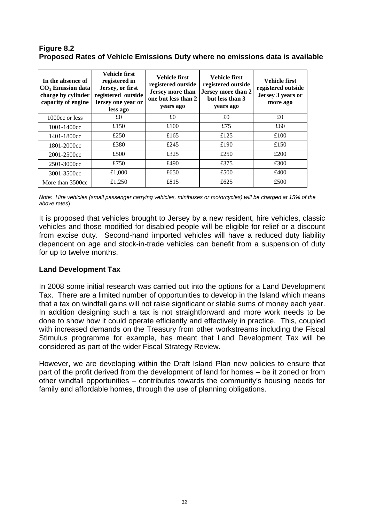#### <span id="page-32-0"></span>**Figure 8.2 Proposed Rates of Vehicle Emissions Duty where no emissions data is available**

| In the absence of<br>$CO2$ Emission data<br>charge by cylinder<br>capacity of engine | Vehicle first<br>registered in<br>Jersey, or first<br>registered outside<br>Jersey one year or<br>less ago | Vehicle first<br>registered outside<br>Jersey more than<br>one but less than 2<br>years ago | Vehicle first<br>registered outside<br>Jersey more than 2<br>but less than 3<br>years ago | Vehicle first<br>registered outside<br>Jersey 3 years or<br>more ago |
|--------------------------------------------------------------------------------------|------------------------------------------------------------------------------------------------------------|---------------------------------------------------------------------------------------------|-------------------------------------------------------------------------------------------|----------------------------------------------------------------------|
| 1000cc or less                                                                       | £0                                                                                                         | £0                                                                                          | £0                                                                                        | £0                                                                   |
| 1001-1400cc                                                                          | £150                                                                                                       | £100                                                                                        | £75                                                                                       | £60                                                                  |
| 1401-1800cc                                                                          | £250                                                                                                       | £165                                                                                        | £125                                                                                      | £100                                                                 |
| 1801-2000cc                                                                          | £380                                                                                                       | £245                                                                                        | £190                                                                                      | £150                                                                 |
| 2001-2500cc                                                                          | £500                                                                                                       | £325                                                                                        | £250                                                                                      | £200                                                                 |
| 2501-3000cc                                                                          | £750                                                                                                       | £490                                                                                        | £375                                                                                      | £300                                                                 |
| 3001-3500cc                                                                          | £1,000                                                                                                     | £650                                                                                        | £500                                                                                      | £400                                                                 |
| More than 3500cc                                                                     | £1,250                                                                                                     | £815                                                                                        | £625                                                                                      | £500                                                                 |

*Note: Hire vehicles (small passenger carrying vehicles, minibuses or motorcycles) will be charged at 15% of the above rates*)

It is proposed that vehicles brought to Jersey by a new resident, hire vehicles, classic vehicles and those modified for disabled people will be eligible for relief or a discount from excise duty. Second-hand imported vehicles will have a reduced duty liability dependent on age and stock-in-trade vehicles can benefit from a suspension of duty for up to twelve months.

#### **Land Development Tax**

In 2008 some initial research was carried out into the options for a Land Development Tax. There are a limited number of opportunities to develop in the Island which means that a tax on windfall gains will not raise significant or stable sums of money each year. In addition designing such a tax is not straightforward and more work needs to be done to show how it could operate efficiently and effectively in practice. This, coupled with increased demands on the Treasury from other workstreams including the Fiscal Stimulus programme for example, has meant that Land Development Tax will be considered as part of the wider Fiscal Strategy Review.

However, we are developing within the Draft Island Plan new policies to ensure that part of the profit derived from the development of land for homes – be it zoned or from other windfall opportunities – contributes towards the community's housing needs for family and affordable homes, through the use of planning obligations.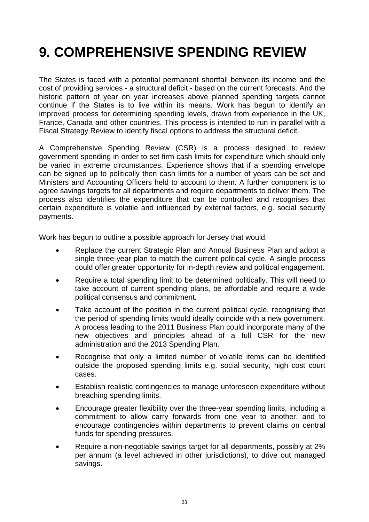### <span id="page-33-0"></span>**9. COMPREHENSIVE SPENDING REVIEW**

The States is faced with a potential permanent shortfall between its income and the cost of providing services - a structural deficit - based on the current forecasts. And the historic pattern of year on year increases above planned spending targets cannot continue if the States is to live within its means. Work has begun to identify an improved process for determining spending levels, drawn from experience in the UK, France, Canada and other countries. This process is intended to run in parallel with a Fiscal Strategy Review to identify fiscal options to address the structural deficit.

A Comprehensive Spending Review (CSR) is a process designed to review government spending in order to set firm cash limits for expenditure which should only be varied in extreme circumstances. Experience shows that if a spending envelope can be signed up to politically then cash limits for a number of years can be set and Ministers and Accounting Officers held to account to them. A further component is to agree savings targets for all departments and require departments to deliver them. The process also identifies the expenditure that can be controlled and recognises that certain expenditure is volatile and influenced by external factors, e.g. social security payments.

Work has begun to outline a possible approach for Jersey that would:

- Replace the current Strategic Plan and Annual Business Plan and adopt a single three-year plan to match the current political cycle. A single process could offer greater opportunity for in-depth review and political engagement.
- Require a total spending limit to be determined politically. This will need to take account of current spending plans, be affordable and require a wide political consensus and commitment.
- Take account of the position in the current political cycle, recognising that the period of spending limits would ideally coincide with a new government. A process leading to the 2011 Business Plan could incorporate many of the new objectives and principles ahead of a full CSR for the new administration and the 2013 Spending Plan.
- Recognise that only a limited number of volatile items can be identified outside the proposed spending limits e.g. social security, high cost court cases.
- Establish realistic contingencies to manage unforeseen expenditure without breaching spending limits.
- Encourage greater flexibility over the three-year spending limits, including a commitment to allow carry forwards from one year to another, and to encourage contingencies within departments to prevent claims on central funds for spending pressures.
- Require a non-negotiable savings target for all departments, possibly at 2% per annum (a level achieved in other jurisdictions), to drive out managed savings.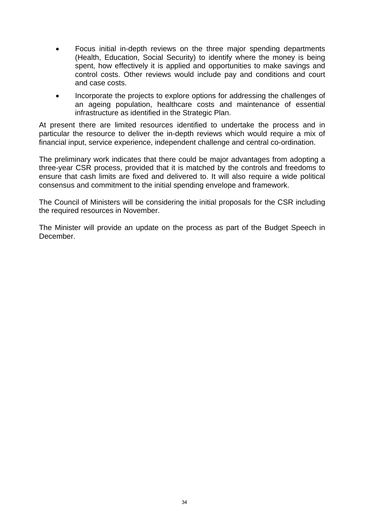- Focus initial in-depth reviews on the three major spending departments (Health, Education, Social Security) to identify where the money is being spent, how effectively it is applied and opportunities to make savings and control costs. Other reviews would include pay and conditions and court and case costs.
- Incorporate the projects to explore options for addressing the challenges of an ageing population, healthcare costs and maintenance of essential infrastructure as identified in the Strategic Plan.

At present there are limited resources identified to undertake the process and in particular the resource to deliver the in-depth reviews which would require a mix of financial input, service experience, independent challenge and central co-ordination.

The preliminary work indicates that there could be major advantages from adopting a three-year CSR process, provided that it is matched by the controls and freedoms to ensure that cash limits are fixed and delivered to. It will also require a wide political consensus and commitment to the initial spending envelope and framework.

The Council of Ministers will be considering the initial proposals for the CSR including the required resources in November.

The Minister will provide an update on the process as part of the Budget Speech in December.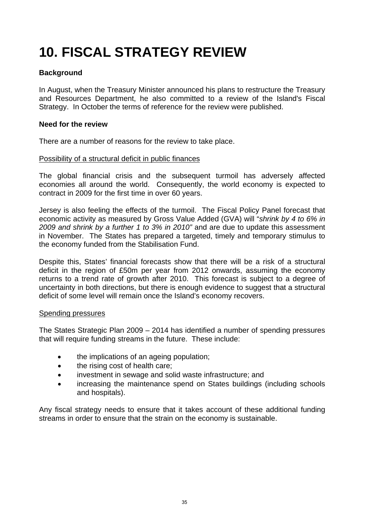### <span id="page-35-0"></span>**10. FISCAL STRATEGY REVIEW**

#### **Background**

In August, when the Treasury Minister announced his plans to restructure the Treasury and Resources Department, he also committed to a review of the Island's Fiscal Strategy. In October the terms of reference for the review were published.

#### **Need for the review**

There are a number of reasons for the review to take place.

#### Possibility of a structural deficit in public finances

The global financial crisis and the subsequent turmoil has adversely affected economies all around the world. Consequently, the world economy is expected to contract in 2009 for the first time in over 60 years.

Jersey is also feeling the effects of the turmoil. The Fiscal Policy Panel forecast that economic activity as measured by Gross Value Added (GVA) will "*shrink by 4 to 6% in 2009 and shrink by a further 1 to 3% in 2010"* and are due to update this assessment in November. The States has prepared a targeted, timely and temporary stimulus to the economy funded from the Stabilisation Fund.

Despite this, States' financial forecasts show that there will be a risk of a structural deficit in the region of £50m per year from 2012 onwards, assuming the economy returns to a trend rate of growth after 2010. This forecast is subject to a degree of uncertainty in both directions, but there is enough evidence to suggest that a structural deficit of some level will remain once the Island's economy recovers.

#### Spending pressures

The States Strategic Plan 2009 – 2014 has identified a number of spending pressures that will require funding streams in the future. These include:

- the implications of an ageing population;
- the rising cost of health care:
- investment in sewage and solid waste infrastructure; and
- increasing the maintenance spend on States buildings (including schools and hospitals).

Any fiscal strategy needs to ensure that it takes account of these additional funding streams in order to ensure that the strain on the economy is sustainable.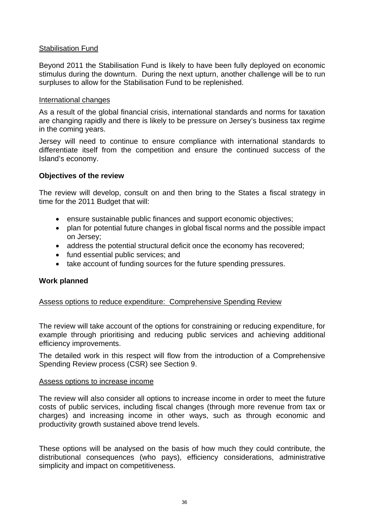#### Stabilisation Fund

Beyond 2011 the Stabilisation Fund is likely to have been fully deployed on economic stimulus during the downturn. During the next upturn, another challenge will be to run surpluses to allow for the Stabilisation Fund to be replenished.

#### International changes

As a result of the global financial crisis, international standards and norms for taxation are changing rapidly and there is likely to be pressure on Jersey's business tax regime in the coming years.

Jersey will need to continue to ensure compliance with international standards to differentiate itself from the competition and ensure the continued success of the Island's economy.

#### **Objectives of the review**

The review will develop, consult on and then bring to the States a fiscal strategy in time for the 2011 Budget that will:

- ensure sustainable public finances and support economic objectives;
- plan for potential future changes in global fiscal norms and the possible impact on Jersey;
- address the potential structural deficit once the economy has recovered;
- fund essential public services; and
- take account of funding sources for the future spending pressures.

#### **Work planned**

#### Assess options to reduce expenditure: Comprehensive Spending Review

The review will take account of the options for constraining or reducing expenditure, for example through prioritising and reducing public services and achieving additional efficiency improvements.

The detailed work in this respect will flow from the introduction of a Comprehensive Spending Review process (CSR) see Section 9.

#### Assess options to increase income

The review will also consider all options to increase income in order to meet the future costs of public services, including fiscal changes (through more revenue from tax or charges) and increasing income in other ways, such as through economic and productivity growth sustained above trend levels.

These options will be analysed on the basis of how much they could contribute, the distributional consequences (who pays), efficiency considerations, administrative simplicity and impact on competitiveness.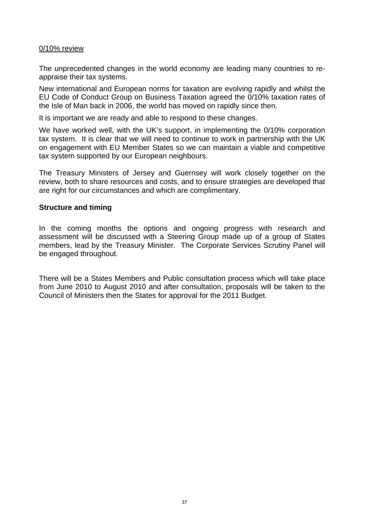#### 0/10% review

The unprecedented changes in the world economy are leading many countries to reappraise their tax systems.

New international and European norms for taxation are evolving rapidly and whilst the EU Code of Conduct Group on Business Taxation agreed the 0/10% taxation rates of the Isle of Man back in 2006, the world has moved on rapidly since then.

It is important we are ready and able to respond to these changes.

We have worked well, with the UK's support, in implementing the 0/10% corporation tax system. It is clear that we will need to continue to work in partnership with the UK on engagement with EU Member States so we can maintain a viable and competitive tax system supported by our European neighbours.

The Treasury Ministers of Jersey and Guernsey will work closely together on the review, both to share resources and costs, and to ensure strategies are developed that are right for our circumstances and which are complimentary.

#### **Structure and timing**

In the coming months the options and ongoing progress with research and assessment will be discussed with a Steering Group made up of a group of States members, lead by the Treasury Minister. The Corporate Services Scrutiny Panel will be engaged throughout.

There will be a States Members and Public consultation process which will take place from June 2010 to August 2010 and after consultation, proposals will be taken to the Council of Ministers then the States for approval for the 2011 Budget.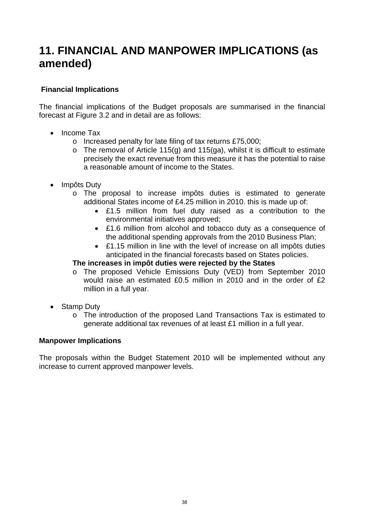### <span id="page-38-0"></span>**11. FINANCIAL AND MANPOWER IMPLICATIONS (as amended)**

#### **Financial Implications**

The financial implications of the Budget proposals are summarised in the financial forecast at Figure 3.2 and in detail are as follows:

- Income Tax
	- o Increased penalty for late filing of tax returns £75,000;
	- $\circ$  The removal of Article 115(g) and 115(ga), whilst it is difficult to estimate precisely the exact revenue from this measure it has the potential to raise a reasonable amount of income to the States.
- Impôts Duty
	- o The proposal to increase impôts duties is estimated to generate additional States income of £4.25 million in 2010. this is made up of:
		- £1.5 million from fuel duty raised as a contribution to the environmental initiatives approved;
		- £1.6 million from alcohol and tobacco duty as a consequence of the additional spending approvals from the 2010 Business Plan;
		- £1.15 million in line with the level of increase on all impôts duties anticipated in the financial forecasts based on States policies.

#### **The increases in impôt duties were rejected by the States**

- o The proposed Vehicle Emissions Duty (VED) from September 2010 would raise an estimated £0.5 million in 2010 and in the order of £2 million in a full year.
- Stamp Duty
	- o The introduction of the proposed Land Transactions Tax is estimated to generate additional tax revenues of at least £1 million in a full year.

#### **Manpower Implications**

The proposals within the Budget Statement 2010 will be implemented without any increase to current approved manpower levels.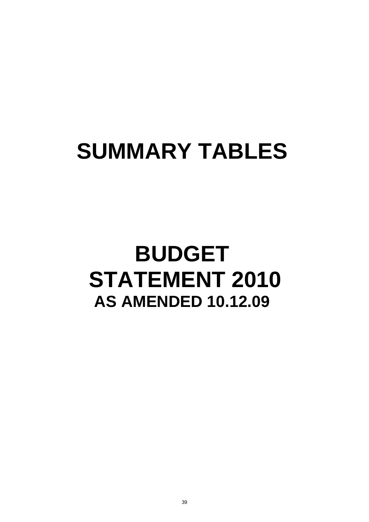# <span id="page-39-0"></span>**SUMMARY TABLES**

## **BUDGET STATEMENT 2010 AS AMENDED 10.12.09**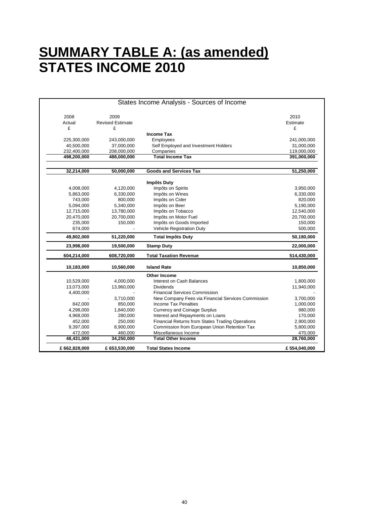### **SUMMARY TABLE A: (as amended) STATES INCOME 2010**

|              |                         | States Income Analysis - Sources of Income         |              |
|--------------|-------------------------|----------------------------------------------------|--------------|
| 2008         | 2009                    |                                                    | 2010         |
| Actual       | <b>Revised Estimate</b> |                                                    | Estimate     |
| £            | £                       |                                                    | £            |
|              |                         | <b>Income Tax</b>                                  |              |
| 225,300,000  | 243,000,000             | Employees                                          | 241,000,000  |
| 40,500,000   | 37,000,000              | Self Employed and Investment Holders               | 31,000,000   |
| 232,400,000  | 208,000,000             | Companies                                          | 119,000,000  |
| 498,200,000  | 488,000,000             | <b>Total Income Tax</b>                            | 391,000,000  |
| 32,214,000   | 50,000,000              | <b>Goods and Services Tax</b>                      | 51,250,000   |
|              |                         |                                                    |              |
|              |                         | <b>Impôts Duty</b>                                 |              |
| 4,008,000    | 4,120,000               | Impôts on Spirits                                  | 3,950,000    |
| 5,863,000    | 6,330,000               | Impôts on Wines                                    | 6,330,000    |
| 743,000      | 800,000                 | Impôts on Cider                                    | 820,000      |
| 5,094,000    | 5,340,000               | Impôts on Beer                                     | 5,190,000    |
| 12,715,000   | 13,780,000              | Impôts on Tobacco                                  | 12,540,000   |
| 20,470,000   | 20,700,000              | Impôts on Motor Fuel                               | 20,700,000   |
| 235,000      | 150,000                 | Impôts on Goods Imported                           | 150,000      |
| 674,000      |                         | Vehicle Registration Duty                          | 500,000      |
| 49,802,000   | 51,220,000              | <b>Total Impôts Duty</b>                           | 50,180,000   |
| 23,998,000   | 19,500,000              | <b>Stamp Duty</b>                                  | 22,000,000   |
| 604,214,000  | 608,720,000             | <b>Total Taxation Revenue</b>                      | 514,430,000  |
| 10,183,000   | 10,560,000              | <b>Island Rate</b>                                 | 10,850,000   |
|              |                         | <b>Other Income</b>                                |              |
| 10,529,000   | 4,000,000               | <b>Interest on Cash Balances</b>                   | 1,800,000    |
| 13,073,000   | 13,960,000              | <b>Dividends</b>                                   | 11,940,000   |
| 4,400,000    |                         | <b>Financial Services Commission</b>               |              |
|              | 3,710,000               | New Company Fees via Financial Services Commission | 3,700,000    |
| 842,000      | 850,000                 | Income Tax Penalties                               | 1,000,000    |
| 4,298,000    | 1,840,000               | <b>Currency and Coinage Surplus</b>                | 980,000      |
| 4,968,000    | 280,000                 | Interest and Repayments on Loans                   | 170,000      |
| 452,000      | 250,000                 | Financial Returns from States Trading Operations   | 2,900,000    |
| 9,397,000    | 8,900,000               | Commission from European Union Retention Tax       | 5,800,000    |
| 472,000      | 460,000                 | Miscellaneous Income                               | 470,000      |
| 48,431,000   | 34,250,000              | <b>Total Other Income</b>                          | 28,760,000   |
| £662,828,000 | £ 653,530,000           | <b>Total States Income</b>                         | £554,040,000 |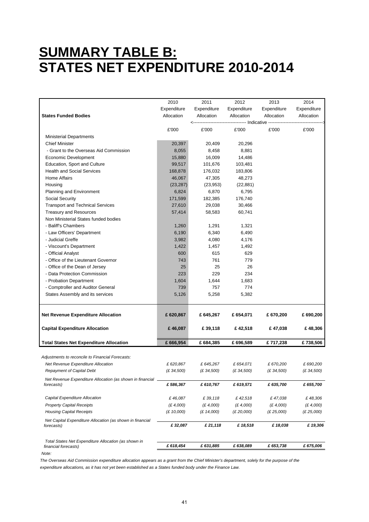### **SUMMARY TABLE B: STATES NET EXPENDITURE 2010-2014**

|                                                                              | 2010        | 2011        | 2012              | 2013        | 2014        |
|------------------------------------------------------------------------------|-------------|-------------|-------------------|-------------|-------------|
|                                                                              | Expenditure | Expenditure | Expenditure       | Expenditure | Expenditure |
| <b>States Funded Bodies</b>                                                  | Allocation  | Allocation  | Allocation        | Allocation  | Allocation  |
|                                                                              |             |             | ---- Indicative - |             |             |
|                                                                              | £'000       | £'000       | £'000             | £'000       | £'000       |
| <b>Ministerial Departments</b>                                               |             |             |                   |             |             |
| <b>Chief Minister</b>                                                        | 20,397      | 20,409      | 20,296            |             |             |
| - Grant to the Overseas Aid Commission                                       | 8,055       | 8,458       | 8,881             |             |             |
| Economic Development                                                         | 15,880      | 16,009      | 14,486            |             |             |
| Education, Sport and Culture                                                 | 99,517      | 101,676     | 103,481           |             |             |
| <b>Health and Social Services</b>                                            | 168,878     | 176,032     | 183,806           |             |             |
| Home Affairs                                                                 | 46,067      | 47,305      | 48,273            |             |             |
| Housing                                                                      | (23, 287)   | (23, 953)   | (22, 881)         |             |             |
| Planning and Environment                                                     | 6,824       | 6,870       | 6,795             |             |             |
| Social Security                                                              | 171,599     | 182,385     | 176,740           |             |             |
| <b>Transport and Technical Services</b>                                      | 27,610      | 29,038      | 30,466            |             |             |
| <b>Treasury and Resources</b>                                                | 57,414      | 58,583      | 60,741            |             |             |
| Non Ministerial States funded bodies                                         |             |             |                   |             |             |
| - Baliff's Chambers                                                          | 1,260       | 1,291       | 1,321             |             |             |
| - Law Officers' Department                                                   | 6,190       | 6,340       | 6,490             |             |             |
| - Judicial Greffe                                                            | 3,982       | 4,080       | 4,176             |             |             |
| - Viscount's Department                                                      | 1,422       | 1,457       | 1,492             |             |             |
| - Official Analyst                                                           | 600         | 615         | 629               |             |             |
| - Office of the Lieutenant Governor                                          | 743         | 761         | 779               |             |             |
| - Office of the Dean of Jersey                                               | 25          | 25          | 26                |             |             |
| - Data Protection Commission                                                 | 223         | 229         | 234               |             |             |
| - Probation Department                                                       | 1,604       | 1,644       | 1,683             |             |             |
| - Comptroller and Auditor General                                            | 739         | 757         | 774               |             |             |
| States Assembly and its services                                             | 5,126       | 5,258       | 5,382             |             |             |
|                                                                              |             |             |                   |             |             |
|                                                                              |             |             |                   |             |             |
| <b>Net Revenue Expenditure Allocation</b>                                    | £ 620,867   | £645,267    | £654,071          | £670,200    | £690,200    |
| <b>Capital Expenditure Allocation</b>                                        | £46,087     | £39,118     | £42,518           | £47,038     | £48,306     |
| <b>Total States Net Expenditure Allocation</b>                               | £666,954    | £684,385    | £696,589          | £717,238    | £738,506    |
|                                                                              |             |             |                   |             |             |
| Adjustments to reconcile to Financial Forecasts:                             |             |             |                   |             |             |
| Net Revenue Expenditure Allocation                                           | £ 620,867   | £ 645,267   | £ 654,071         | £ 670,200   | £ 690,200   |
| <b>Repayment of Capital Debt</b>                                             | (E 34,500)  | (E 34,500)  | (E 34,500)        | (£ 34,500)  | (E 34,500)  |
| Net Revenue Expenditure Allocation (as shown in financial                    |             |             |                   |             |             |
| forecasts)                                                                   | £586,367    | £ 610,767   | £ 619,571         | £ 635,700   | £ 655,700   |
| Capital Expenditure Allocation                                               | £46,087     | £39,118     | £42,518           | £47,038     | £48,306     |
| <b>Property Capital Receipts</b>                                             | (E 4,000)   | (£4,000)    | (E 4,000)         | (E 4,000)   | (E 4,000)   |
| <b>Housing Capital Receipts</b>                                              | (£ 10,000)  | (E 14,000)  | (E 20,000)        | (£ 25,000)  | (E 25,000)  |
| Net Capital Expenditure Allocation (as shown in financial                    |             |             |                   |             |             |
| forecasts)                                                                   | £32,087     | £ 21,118    | £18,518           | £18,038     | £19,306     |
|                                                                              |             |             |                   |             |             |
| Total States Net Expenditure Allocation (as shown in<br>financial forecasts) | £ 618,454   | £631,885    | £ 638,089         | £ 653,738   | £ 675,006   |
| Note:                                                                        |             |             |                   |             |             |

*The Overseas Aid Commission expenditure allocation appears as a grant from the Chief Minister's department, solely for the purpose of the expenditure allocations, as it has not yet been established as a States funded body under the Finance Law.*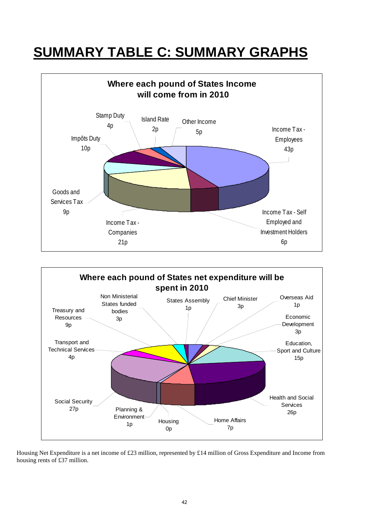### **SUMMARY TABLE C: SUMMARY GRAPHS**





Housing Net Expenditure is a net income of £23 million, represented by £14 million of Gross Expenditure and Income from housing rents of £37 million.